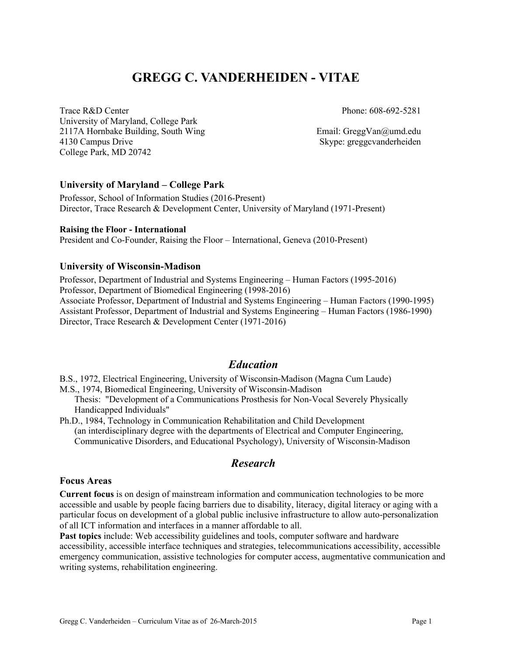# **GREGG C. VANDERHEIDEN - VITAE**

Trace R&D Center University of Maryland, College Park 2117A Hornbake Building, South Wing 4130 Campus Drive College Park, MD 20742

Phone: 608-692-5281

Email: GreggVan@umd.edu Skype: greggcvanderheiden

#### **University of Maryland – College Park**

Professor, School of Information Studies (2016-Present) Director, Trace Research & Development Center, University of Maryland (1971-Present)

#### **Raising the Floor - International**

President and Co-Founder, Raising the Floor – International, Geneva (2010-Present)

#### **University of Wisconsin-Madison**

Professor, Department of Industrial and Systems Engineering – Human Factors (1995-2016) Professor, Department of Biomedical Engineering (1998-2016) Associate Professor, Department of Industrial and Systems Engineering – Human Factors (1990-1995)

Assistant Professor, Department of Industrial and Systems Engineering – Human Factors (1986-1990) Director, Trace Research & Development Center (1971-2016)

### *Education*

B.S., 1972, Electrical Engineering, University of Wisconsin-Madison (Magna Cum Laude)

M.S., 1974, Biomedical Engineering, University of Wisconsin-Madison

Thesis: "Development of a Communications Prosthesis for Non-Vocal Severely Physically Handicapped Individuals"

Ph.D., 1984, Technology in Communication Rehabilitation and Child Development (an interdisciplinary degree with the departments of Electrical and Computer Engineering, Communicative Disorders, and Educational Psychology), University of Wisconsin-Madison

## *Research*

#### **Focus Areas**

**Current focus** is on design of mainstream information and communication technologies to be more accessible and usable by people facing barriers due to disability, literacy, digital literacy or aging with a particular focus on development of a global public inclusive infrastructure to allow auto-personalization of all ICT information and interfaces in a manner affordable to all.

**Past topics** include: Web accessibility guidelines and tools, computer software and hardware accessibility, accessible interface techniques and strategies, telecommunications accessibility, accessible emergency communication, assistive technologies for computer access, augmentative communication and writing systems, rehabilitation engineering.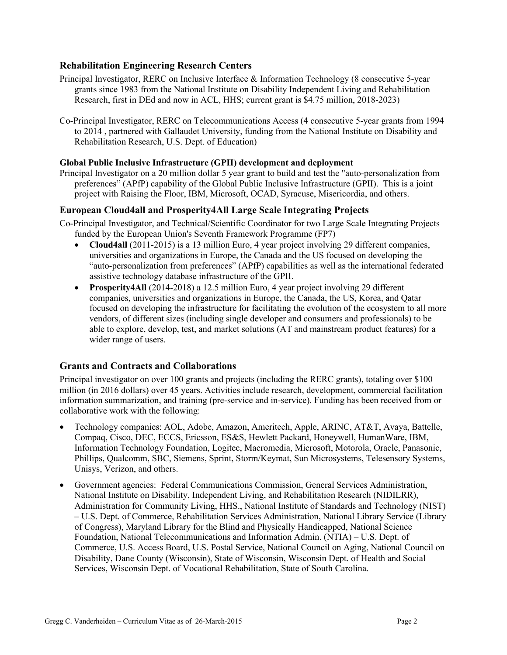### **Rehabilitation Engineering Research Centers**

- Principal Investigator, RERC on Inclusive Interface & Information Technology (8 consecutive 5-year grants since 1983 from the National Institute on Disability Independent Living and Rehabilitation Research, first in DEd and now in ACL, HHS; current grant is \$4.75 million, 2018-2023)
- Co-Principal Investigator, RERC on Telecommunications Access (4 consecutive 5-year grants from 1994 to 2014 , partnered with Gallaudet University, funding from the National Institute on Disability and Rehabilitation Research, U.S. Dept. of Education)

#### **Global Public Inclusive Infrastructure (GPII) development and deployment**

Principal Investigator on a 20 million dollar 5 year grant to build and test the "auto-personalization from preferences" (APfP) capability of the Global Public Inclusive Infrastructure (GPII). This is a joint project with Raising the Floor, IBM, Microsoft, OCAD, Syracuse, Misericordia, and others.

#### **European Cloud4all and Prosperity4All Large Scale Integrating Projects**

- Co-Principal Investigator, and Technical/Scientific Coordinator for two Large Scale Integrating Projects funded by the European Union's Seventh Framework Programme (FP7)
	- **Cloud4all** (2011-2015) is a 13 million Euro, 4 year project involving 29 different companies, universities and organizations in Europe, the Canada and the US focused on developing the "auto-personalization from preferences" (APfP) capabilities as well as the international federated assistive technology database infrastructure of the GPII.
	- **Prosperity4All** (2014-2018) a 12.5 million Euro, 4 year project involving 29 different companies, universities and organizations in Europe, the Canada, the US, Korea, and Qatar focused on developing the infrastructure for facilitating the evolution of the ecosystem to all more vendors, of different sizes (including single developer and consumers and professionals) to be able to explore, develop, test, and market solutions (AT and mainstream product features) for a wider range of users.

#### **Grants and Contracts and Collaborations**

Principal investigator on over 100 grants and projects (including the RERC grants), totaling over \$100 million (in 2016 dollars) over 45 years. Activities include research, development, commercial facilitation information summarization, and training (pre-service and in-service). Funding has been received from or collaborative work with the following:

- Technology companies: AOL, Adobe, Amazon, Ameritech, Apple, ARINC, AT&T, Avaya, Battelle, Compaq, Cisco, DEC, ECCS, Ericsson, ES&S, Hewlett Packard, Honeywell, HumanWare, IBM, Information Technology Foundation, Logitec, Macromedia, Microsoft, Motorola, Oracle, Panasonic, Phillips, Qualcomm, SBC, Siemens, Sprint, Storm/Keymat, Sun Microsystems, Telesensory Systems, Unisys, Verizon, and others.
- Government agencies: Federal Communications Commission, General Services Administration, National Institute on Disability, Independent Living, and Rehabilitation Research (NIDILRR), Administration for Community Living, HHS., National Institute of Standards and Technology (NIST) – U.S. Dept. of Commerce, Rehabilitation Services Administration, National Library Service (Library of Congress), Maryland Library for the Blind and Physically Handicapped, National Science Foundation, National Telecommunications and Information Admin. (NTIA) – U.S. Dept. of Commerce, U.S. Access Board, U.S. Postal Service, National Council on Aging, National Council on Disability, Dane County (Wisconsin), State of Wisconsin, Wisconsin Dept. of Health and Social Services, Wisconsin Dept. of Vocational Rehabilitation, State of South Carolina.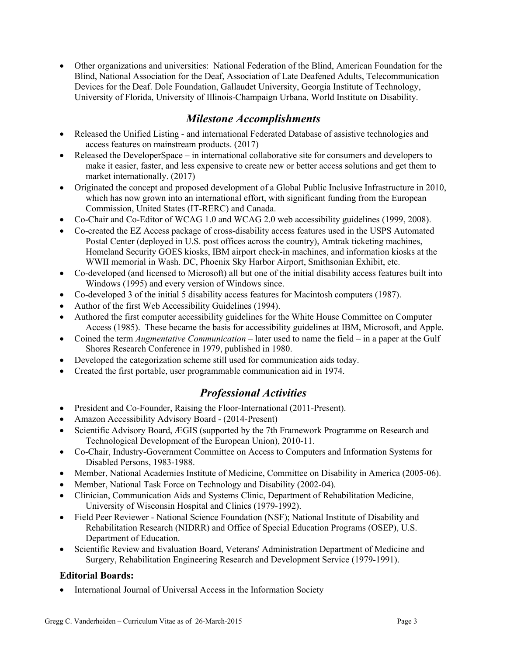• Other organizations and universities: National Federation of the Blind, American Foundation for the Blind, National Association for the Deaf, Association of Late Deafened Adults, Telecommunication Devices for the Deaf. Dole Foundation, Gallaudet University, Georgia Institute of Technology, University of Florida, University of Illinois-Champaign Urbana, World Institute on Disability.

## *Milestone Accomplishments*

- Released the Unified Listing and international Federated Database of assistive technologies and access features on mainstream products. (2017)
- Released the DeveloperSpace in international collaborative site for consumers and developers to make it easier, faster, and less expensive to create new or better access solutions and get them to market internationally. (2017)
- Originated the concept and proposed development of a Global Public Inclusive Infrastructure in 2010, which has now grown into an international effort, with significant funding from the European Commission, United States (IT-RERC) and Canada.
- Co-Chair and Co-Editor of WCAG 1.0 and WCAG 2.0 web accessibility guidelines (1999, 2008).
- Co-created the EZ Access package of cross-disability access features used in the USPS Automated Postal Center (deployed in U.S. post offices across the country), Amtrak ticketing machines, Homeland Security GOES kiosks, IBM airport check-in machines, and information kiosks at the WWII memorial in Wash. DC, Phoenix Sky Harbor Airport, Smithsonian Exhibit, etc.
- Co-developed (and licensed to Microsoft) all but one of the initial disability access features built into Windows (1995) and every version of Windows since.
- Co-developed 3 of the initial 5 disability access features for Macintosh computers (1987).
- Author of the first Web Accessibility Guidelines (1994).
- Authored the first computer accessibility guidelines for the White House Committee on Computer Access (1985). These became the basis for accessibility guidelines at IBM, Microsoft, and Apple.
- Coined the term *Augmentative Communication* later used to name the field in a paper at the Gulf Shores Research Conference in 1979, published in 1980.
- Developed the categorization scheme still used for communication aids today.
- Created the first portable, user programmable communication aid in 1974.

## *Professional Activities*

- President and Co-Founder, Raising the Floor-International (2011-Present).
- Amazon Accessibility Advisory Board (2014-Present)
- Scientific Advisory Board, ÆGIS (supported by the 7th Framework Programme on Research and Technological Development of the European Union), 2010-11.
- Co-Chair, Industry-Government Committee on Access to Computers and Information Systems for Disabled Persons, 1983-1988.
- Member, National Academies Institute of Medicine, Committee on Disability in America (2005-06).
- Member, National Task Force on Technology and Disability (2002-04).
- Clinician, Communication Aids and Systems Clinic, Department of Rehabilitation Medicine, University of Wisconsin Hospital and Clinics (1979-1992).
- Field Peer Reviewer National Science Foundation (NSF); National Institute of Disability and Rehabilitation Research (NIDRR) and Office of Special Education Programs (OSEP), U.S. Department of Education.
- Scientific Review and Evaluation Board, Veterans' Administration Department of Medicine and Surgery, Rehabilitation Engineering Research and Development Service (1979-1991).

### **Editorial Boards:**

• International Journal of Universal Access in the Information Society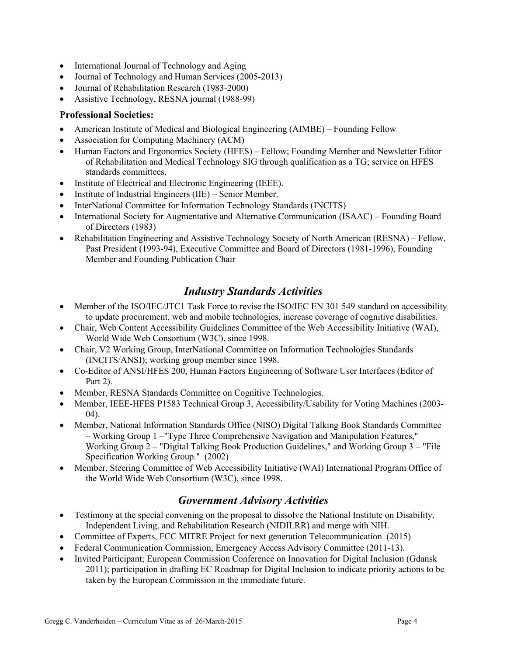- International Journal of Technology and Aging
- Journal of Technology and Human Services (2005-2013)
- Journal of Rehabilitation Research (1983-2000)
- Assistive Technology, RESNA journal (1988-99)

### **Professional Societies:**

- American Institute of Medical and Biological Engineering (AIMBE) Founding Fellow
- Association for Computing Machinery (ACM)
- Human Factors and Ergonomics Society (HFES) Fellow; Founding Member and Newsletter Editor of Rehabilitation and Medical Technology SIG through qualification as a TG; service on HFES standards committees.
- Institute of Electrical and Electronic Engineering (IEEE).
- Institute of Industrial Engineers (IIE) Senior Member.
- InterNational Committee for Information Technology Standards (INCITS)
- International Society for Augmentative and Alternative Communication (ISAAC) Founding Board of Directors (1983)
- Rehabilitation Engineering and Assistive Technology Society of North American (RESNA) Fellow, Past President (1993-94), Executive Committee and Board of Directors (1981-1996), Founding Member and Founding Publication Chair

## *Industry Standards Activities*

- Member of the ISO/IEC/JTC1 Task Force to revise the ISO/IEC EN 301 549 standard on accessibility to update procurement, web and mobile technologies, increase coverage of cognitive disabilities.
- Chair, Web Content Accessibility Guidelines Committee of the Web Accessibility Initiative (WAI), World Wide Web Consortium (W3C), since 1998.
- Chair, V2 Working Group, InterNational Committee on Information Technologies Standards (INCITS/ANSI); working group member since 1998.
- Co-Editor of ANSI/HFES 200, Human Factors Engineering of Software User Interfaces (Editor of Part 2).
- Member, RESNA Standards Committee on Cognitive Technologies.
- Member, IEEE-HFES P1583 Technical Group 3, Accessibility/Usability for Voting Machines (2003- 04).
- Member, National Information Standards Office (NISO) Digital Talking Book Standards Committee – Working Group 1 –"Type Three Comprehensive Navigation and Manipulation Features," Working Group 2 – "Digital Talking Book Production Guidelines," and Working Group 3 – "File Specification Working Group." (2002)
- Member, Steering Committee of Web Accessibility Initiative (WAI) International Program Office of the World Wide Web Consortium (W3C), since 1998.

## *Government Advisory Activities*

- Testimony at the special convening on the proposal to dissolve the National Institute on Disability, Independent Living, and Rehabilitation Research (NIDILRR) and merge with NIH.
- Committee of Experts, FCC MITRE Project for next generation Telecommunication (2015)
- Federal Communication Commission, Emergency Access Advisory Committee (2011-13).
- Invited Participant; European Commission Conference on Innovation for Digital Inclusion (Gdansk 2011); participation in drafting EC Roadmap for Digital Inclusion to indicate priority actions to be taken by the European Commission in the immediate future.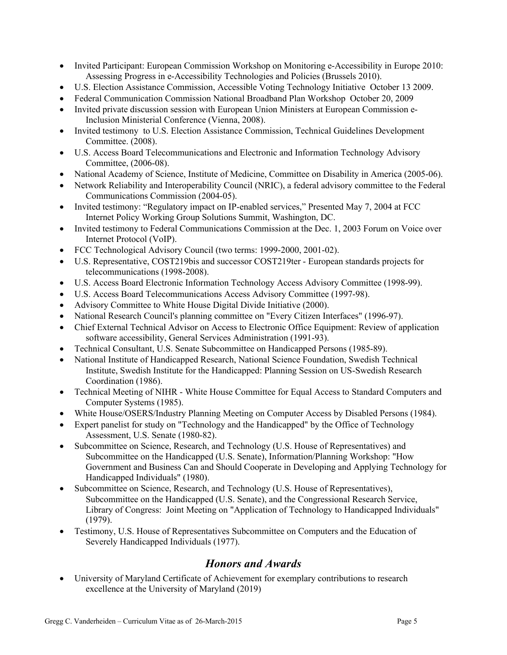- Invited Participant: European Commission Workshop on Monitoring e-Accessibility in Europe 2010: Assessing Progress in e-Accessibility Technologies and Policies (Brussels 2010).
- U.S. Election Assistance Commission, Accessible Voting Technology Initiative October 13 2009.
- Federal Communication Commission National Broadband Plan Workshop October 20, 2009
- Invited private discussion session with European Union Ministers at European Commission e-Inclusion Ministerial Conference (Vienna, 2008).
- Invited testimony to U.S. Election Assistance Commission, Technical Guidelines Development Committee. (2008).
- U.S. Access Board Telecommunications and Electronic and Information Technology Advisory Committee, (2006-08).
- National Academy of Science, Institute of Medicine, Committee on Disability in America (2005-06).
- Network Reliability and Interoperability Council (NRIC), a federal advisory committee to the Federal Communications Commission (2004-05).
- Invited testimony: "Regulatory impact on IP-enabled services," Presented May 7, 2004 at FCC Internet Policy Working Group Solutions Summit, Washington, DC.
- Invited testimony to Federal Communications Commission at the Dec. 1, 2003 Forum on Voice over Internet Protocol (VoIP).
- FCC Technological Advisory Council (two terms: 1999-2000, 2001-02).
- U.S. Representative, COST219bis and successor COST219ter European standards projects for telecommunications (1998-2008).
- U.S. Access Board Electronic Information Technology Access Advisory Committee (1998-99).
- U.S. Access Board Telecommunications Access Advisory Committee (1997-98).
- Advisory Committee to White House Digital Divide Initiative (2000).
- National Research Council's planning committee on "Every Citizen Interfaces" (1996-97).
- Chief External Technical Advisor on Access to Electronic Office Equipment: Review of application software accessibility, General Services Administration (1991-93).
- Technical Consultant, U.S. Senate Subcommittee on Handicapped Persons (1985-89).
- National Institute of Handicapped Research, National Science Foundation, Swedish Technical Institute, Swedish Institute for the Handicapped: Planning Session on US-Swedish Research Coordination (1986).
- Technical Meeting of NIHR White House Committee for Equal Access to Standard Computers and Computer Systems (1985).
- White House/OSERS/Industry Planning Meeting on Computer Access by Disabled Persons (1984).
- Expert panelist for study on "Technology and the Handicapped" by the Office of Technology Assessment, U.S. Senate (1980-82).
- Subcommittee on Science, Research, and Technology (U.S. House of Representatives) and Subcommittee on the Handicapped (U.S. Senate), Information/Planning Workshop: "How Government and Business Can and Should Cooperate in Developing and Applying Technology for Handicapped Individuals" (1980).
- Subcommittee on Science, Research, and Technology (U.S. House of Representatives), Subcommittee on the Handicapped (U.S. Senate), and the Congressional Research Service, Library of Congress: Joint Meeting on "Application of Technology to Handicapped Individuals" (1979).
- Testimony, U.S. House of Representatives Subcommittee on Computers and the Education of Severely Handicapped Individuals (1977).

## *Honors and Awards*

• University of Maryland Certificate of Achievement for exemplary contributions to research excellence at the University of Maryland (2019)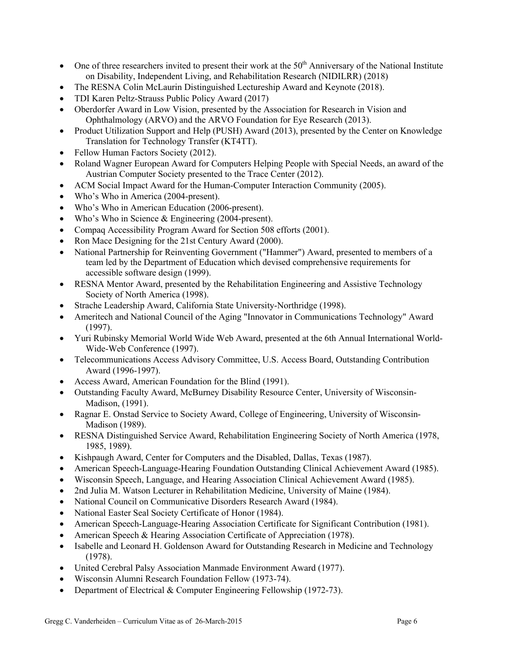- One of three researchers invited to present their work at the  $50<sup>th</sup>$  Anniversary of the National Institute on Disability, Independent Living, and Rehabilitation Research (NIDILRR) (2018)
- The RESNA Colin McLaurin Distinguished Lectureship Award and Keynote (2018).
- TDI Karen Peltz-Strauss Public Policy Award (2017)
- Oberdorfer Award in Low Vision, presented by the Association for Research in Vision and Ophthalmology (ARVO) and the ARVO Foundation for Eye Research (2013).
- Product Utilization Support and Help (PUSH) Award (2013), presented by the Center on Knowledge Translation for Technology Transfer (KT4TT).
- Fellow Human Factors Society (2012).
- Roland Wagner European Award for Computers Helping People with Special Needs, an award of the Austrian Computer Society presented to the Trace Center (2012).
- ACM Social Impact Award for the Human-Computer Interaction Community (2005).
- Who's Who in America (2004-present).
- Who's Who in American Education (2006-present).
- Who's Who in Science & Engineering (2004-present).
- Compaq Accessibility Program Award for Section 508 efforts (2001).
- Ron Mace Designing for the 21st Century Award (2000).
- National Partnership for Reinventing Government ("Hammer") Award, presented to members of a team led by the Department of Education which devised comprehensive requirements for accessible software design (1999).
- RESNA Mentor Award, presented by the Rehabilitation Engineering and Assistive Technology Society of North America (1998).
- Strache Leadership Award, California State University-Northridge (1998).
- Ameritech and National Council of the Aging "Innovator in Communications Technology" Award (1997).
- Yuri Rubinsky Memorial World Wide Web Award, presented at the 6th Annual International World-Wide-Web Conference (1997).
- Telecommunications Access Advisory Committee, U.S. Access Board, Outstanding Contribution Award (1996-1997).
- Access Award, American Foundation for the Blind (1991).
- Outstanding Faculty Award, McBurney Disability Resource Center, University of Wisconsin-Madison, (1991).
- Ragnar E. Onstad Service to Society Award, College of Engineering, University of Wisconsin-Madison (1989).
- RESNA Distinguished Service Award, Rehabilitation Engineering Society of North America (1978, 1985, 1989).
- Kishpaugh Award, Center for Computers and the Disabled, Dallas, Texas (1987).
- American Speech-Language-Hearing Foundation Outstanding Clinical Achievement Award (1985).
- Wisconsin Speech, Language, and Hearing Association Clinical Achievement Award (1985).
- 2nd Julia M. Watson Lecturer in Rehabilitation Medicine, University of Maine (1984).
- National Council on Communicative Disorders Research Award (1984).
- National Easter Seal Society Certificate of Honor (1984).
- American Speech-Language-Hearing Association Certificate for Significant Contribution (1981).
- American Speech & Hearing Association Certificate of Appreciation (1978).
- Isabelle and Leonard H. Goldenson Award for Outstanding Research in Medicine and Technology (1978).
- United Cerebral Palsy Association Manmade Environment Award (1977).
- Wisconsin Alumni Research Foundation Fellow (1973-74).
- Department of Electrical & Computer Engineering Fellowship (1972-73).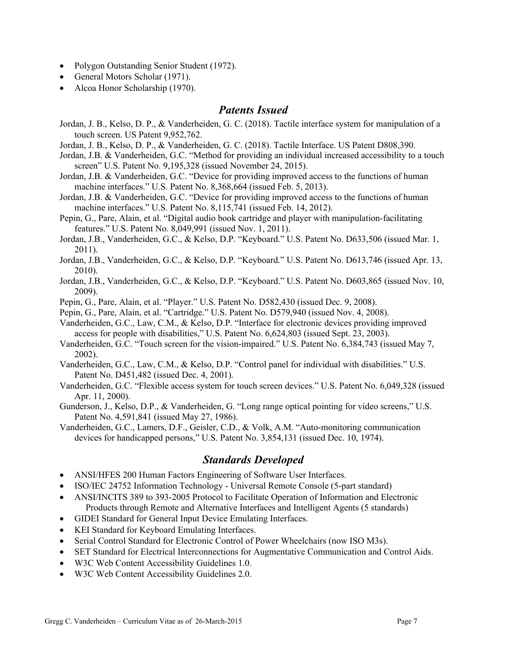- Polygon Outstanding Senior Student (1972).
- General Motors Scholar (1971).
- Alcoa Honor Scholarship (1970).

### *Patents Issued*

- Jordan, J. B., Kelso, D. P., & Vanderheiden, G. C. (2018). Tactile interface system for manipulation of a touch screen. US Patent 9,952,762.
- Jordan, J. B., Kelso, D. P., & Vanderheiden, G. C. (2018). Tactile Interface. US Patent D808,390.
- Jordan, J.B. & Vanderheiden, G.C. "Method for providing an individual increased accessibility to a touch screen" U.S. Patent No. 9,195,328 (issued November 24, 2015).
- Jordan, J.B. & Vanderheiden, G.C. "Device for providing improved access to the functions of human machine interfaces." U.S. Patent No. 8,368,664 (issued Feb. 5, 2013).
- Jordan, J.B. & Vanderheiden, G.C. "Device for providing improved access to the functions of human machine interfaces." U.S. Patent No. 8,115,741 (issued Feb. 14, 2012).
- Pepin, G., Pare, Alain, et al. "Digital audio book cartridge and player with manipulation-facilitating features." U.S. Patent No. 8,049,991 (issued Nov. 1, 2011).
- Jordan, J.B., Vanderheiden, G.C., & Kelso, D.P. "Keyboard." U.S. Patent No. D633,506 (issued Mar. 1, 2011).
- Jordan, J.B., Vanderheiden, G.C., & Kelso, D.P. "Keyboard." U.S. Patent No. D613,746 (issued Apr. 13, 2010).
- Jordan, J.B., Vanderheiden, G.C., & Kelso, D.P. "Keyboard." U.S. Patent No. D603,865 (issued Nov. 10, 2009).
- Pepin, G., Pare, Alain, et al. "Player." U.S. Patent No. D582,430 (issued Dec. 9, 2008).
- Pepin, G., Pare, Alain, et al. "Cartridge." U.S. Patent No. D579,940 (issued Nov. 4, 2008).
- Vanderheiden, G.C., Law, C.M., & Kelso, D.P. "Interface for electronic devices providing improved access for people with disabilities," U.S. Patent No. 6,624,803 (issued Sept. 23, 2003).
- Vanderheiden, G.C. "Touch screen for the vision-impaired." U.S. Patent No. 6,384,743 (issued May 7, 2002).
- Vanderheiden, G.C., Law, C.M., & Kelso, D.P. "Control panel for individual with disabilities." U.S. Patent No. D451,482 (issued Dec. 4, 2001).
- Vanderheiden, G.C. "Flexible access system for touch screen devices." U.S. Patent No. 6,049,328 (issued Apr. 11, 2000).
- Gunderson, J., Kelso, D.P., & Vanderheiden, G. "Long range optical pointing for video screens," U.S. Patent No. 4,591,841 (issued May 27, 1986).
- Vanderheiden, G.C., Lamers, D.F., Geisler, C.D., & Volk, A.M. "Auto-monitoring communication devices for handicapped persons," U.S. Patent No. 3,854,131 (issued Dec. 10, 1974).

## *Standards Developed*

- ANSI/HFES 200 Human Factors Engineering of Software User Interfaces.
- ISO/IEC 24752 Information Technology Universal Remote Console (5-part standard)
- ANSI/INCITS 389 to 393-2005 Protocol to Facilitate Operation of Information and Electronic Products through Remote and Alternative Interfaces and Intelligent Agents (5 standards)
- GIDEI Standard for General Input Device Emulating Interfaces.
- KEI Standard for Keyboard Emulating Interfaces.
- Serial Control Standard for Electronic Control of Power Wheelchairs (now ISO M3s).
- SET Standard for Electrical Interconnections for Augmentative Communication and Control Aids.
- W3C Web Content Accessibility Guidelines 1.0.
- W3C Web Content Accessibility Guidelines 2.0.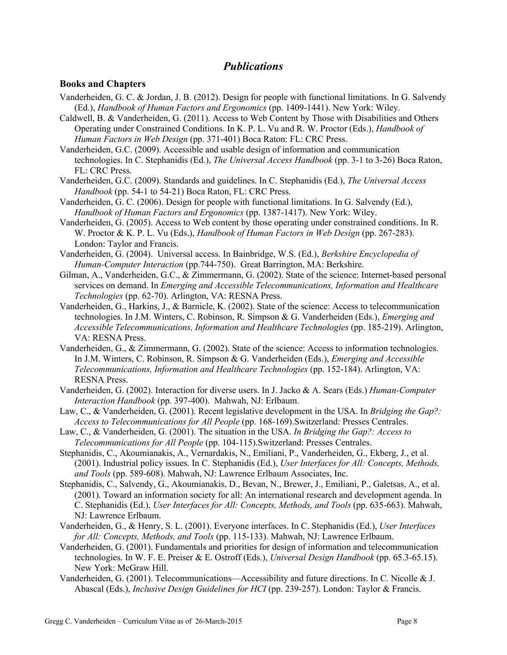### *Publications*

#### **Books and Chapters**

- Vanderheiden, G. C. & Jordan, J. B. (2012). Design for people with functional limitations. In G. Salvendy (Ed.), *Handbook of Human Factors and Ergonomics* (pp. 1409-1441). New York: Wiley.
- Caldwell, B. & Vanderheiden, G. (2011). Access to Web Content by Those with Disabilities and Others Operating under Constrained Conditions. In K. P. L. Vu and R. W. Proctor (Eds.), *Handbook of Human Factors in Web Design* (pp. 371-401) Boca Raton: FL: CRC Press.
- Vanderheiden, G.C. (2009). Accessible and usable design of information and communication technologies. In C. Stephanidis (Ed.), *The Universal Access Handbook* (pp. 3-1 to 3-26) Boca Raton, FL: CRC Press.
- Vanderheiden, G.C. (2009). Standards and guidelines. In C. Stephanidis (Ed.), *The Universal Access Handbook* (pp. 54-1 to 54-21) Boca Raton, FL: CRC Press.
- Vanderheiden, G. C. (2006). Design for people with functional limitations. In G. Salvendy (Ed.), *Handbook of Human Factors and Ergonomics* (pp. 1387-1417). New York: Wiley.
- Vanderheiden, G. (2005). Access to Web content by those operating under constrained conditions. In R. W. Proctor & K. P. L. Vu (Eds.), *Handbook of Human Factors in Web Design* (pp. 267-283). London: Taylor and Francis.
- Vanderheiden, G. (2004). Universal access. In Bainbridge, W.S. (Ed.), *Berkshire Encyclopedia of Human-Computer Interaction* (pp.744-750). Great Barrington, MA: Berkshire.
- Gilman, A., Vanderheiden, G.C., & Zimmermann, G. (2002). State of the science: Internet-based personal services on demand. In *Emerging and Accessible Telecommunications, Information and Healthcare Technologies* (pp. 62-70). Arlington, VA: RESNA Press.
- Vanderheiden, G., Harkins, J., & Barnicle, K. (2002). State of the science: Access to telecommunication technologies. In J.M. Winters, C. Robinson, R. Simpson & G. Vanderheiden (Eds.), *Emerging and Accessible Telecommunications, Information and Healthcare Technologies* (pp. 185-219). Arlington, VA: RESNA Press.
- Vanderheiden, G., & Zimmermann, G. (2002). State of the science: Access to information technologies. In J.M. Winters, C. Robinson, R. Simpson & G. Vanderheiden (Eds.), *Emerging and Accessible Telecommunications, Information and Healthcare Technologies* (pp. 152-184). Arlington, VA: RESNA Press.
- Vanderheiden, G. (2002). Interaction for diverse users. In J. Jacko & A. Sears (Eds.) *Human-Computer Interaction Handbook* (pp. 397-400). Mahwah, NJ: Erlbaum.
- Law, C., & Vanderheiden, G. (2001). Recent legislative development in the USA. In *Bridging the Gap?: Access to Telecommunications for All People* (pp. 168-169).Switzerland: Presses Centrales.
- Law, C., & Vanderheiden, G. (2001). The situation in the USA. *In Bridging the Gap?: Access to Telecommunications for All People* (pp. 104-115).Switzerland: Presses Centrales.
- Stephanidis, C., Akoumianakis, A., Vernardakis, N., Emiliani, P., Vanderheiden, G., Ekberg, J., et al. (2001). Industrial policy issues. In C. Stephanidis (Ed.), *User Interfaces for All: Concepts, Methods, and Tools* (pp. 589-608). Mahwah, NJ: Lawrence Erlbaum Associates, Inc.
- Stephanidis, C., Salvendy, G., Akoumianakis, D., Bevan, N., Brewer, J., Emiliani, P., Galetsas, A., et al. (2001). Toward an information society for all: An international research and development agenda. In C. Stephanidis (Ed.), *User Interfaces for All: Concepts, Methods, and Tools* (pp. 635-663). Mahwah, NJ: Lawrence Erlbaum.
- Vanderheiden, G., & Henry, S. L. (2001). Everyone interfaces. In C. Stephanidis (Ed.), *User Interfaces for All: Concepts, Methods, and Tools* (pp. 115-133). Mahwah, NJ: Lawrence Erlbaum.
- Vanderheiden, G. (2001). Fundamentals and priorities for design of information and telecommunication technologies. In W. F. E. Preiser & E. Ostroff (Eds.), *Universal Design Handbook* (pp. 65.3-65.15). New York: McGraw Hill.
- Vanderheiden, G. (2001). Telecommunications—Accessibility and future directions. In C. Nicolle & J. Abascal (Eds.), *Inclusive Design Guidelines for HCI* (pp. 239-257). London: Taylor & Francis.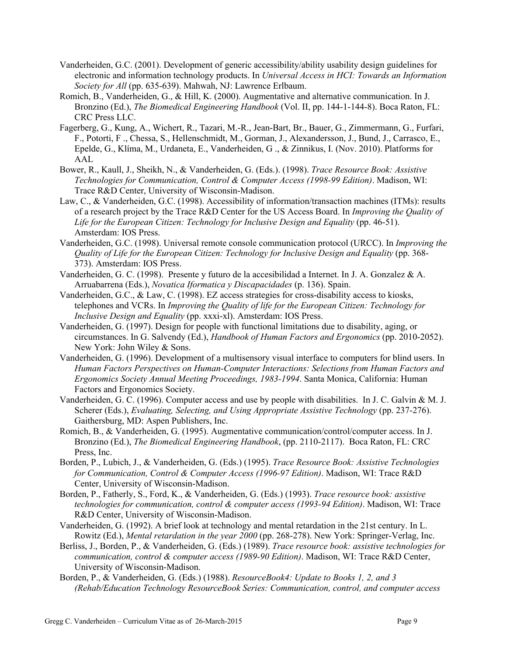- Vanderheiden, G.C. (2001). Development of generic accessibility/ability usability design guidelines for electronic and information technology products. In *Universal Access in HCI: Towards an Information Society for All* (pp. 635-639). Mahwah, NJ: Lawrence Erlbaum.
- Romich, B., Vanderheiden, G., & Hill, K. (2000). Augmentative and alternative communication. In J. Bronzino (Ed.), *The Biomedical Engineering Handbook* (Vol. II, pp. 144-1-144-8). Boca Raton, FL: CRC Press LLC.
- Fagerberg, G., Kung, A., Wichert, R., Tazari, M.-R., Jean-Bart, Br., Bauer, G., Zimmermann, G., Furfari, F., Potorti, F ., Chessa, S., Hellenschmidt, M., Gorman, J., Alexandersson, J., Bund, J., Carrasco, E., Epelde, G., Klíma, M., Urdaneta, E., Vanderheiden, G ., & Zinnikus, I. (Nov. 2010). Platforms for AAL
- Bower, R., Kaull, J., Sheikh, N., & Vanderheiden, G. (Eds.). (1998). *Trace Resource Book: Assistive Technologies for Communication, Control & Computer Access (1998-99 Edition)*. Madison, WI: Trace R&D Center, University of Wisconsin-Madison.
- Law, C., & Vanderheiden, G.C. (1998). Accessibility of information/transaction machines (ITMs): results of a research project by the Trace R&D Center for the US Access Board. In *Improving the Quality of Life for the European Citizen: Technology for Inclusive Design and Equality* (pp. 46-51). Amsterdam: IOS Press.
- Vanderheiden, G.C. (1998). Universal remote console communication protocol (URCC). In *Improving the Quality of Life for the European Citizen: Technology for Inclusive Design and Equality* (pp. 368- 373). Amsterdam: IOS Press.
- Vanderheiden, G. C. (1998). Presente y futuro de la accesibilidad a Internet. In J. A. Gonzalez & A. Arruabarrena (Eds.), *Novatica Iformatica y Discapacidades* (p. 136). Spain.
- Vanderheiden, G.C., & Law, C. (1998). EZ access strategies for cross-disability access to kiosks, telephones and VCRs. In *Improving the Quality of life for the European Citizen: Technology for Inclusive Design and Equality* (pp. xxxi-xl). Amsterdam: IOS Press.
- Vanderheiden, G. (1997). Design for people with functional limitations due to disability, aging, or circumstances. In G. Salvendy (Ed.), *Handbook of Human Factors and Ergonomics* (pp. 2010-2052). New York: John Wiley & Sons.
- Vanderheiden, G. (1996). Development of a multisensory visual interface to computers for blind users. In *Human Factors Perspectives on Human-Computer Interactions: Selections from Human Factors and Ergonomics Society Annual Meeting Proceedings, 1983-1994*. Santa Monica, California: Human Factors and Ergonomics Society.
- Vanderheiden, G. C. (1996). Computer access and use by people with disabilities. In J. C. Galvin & M. J. Scherer (Eds.), *Evaluating, Selecting, and Using Appropriate Assistive Technology* (pp. 237-276). Gaithersburg, MD: Aspen Publishers, Inc.
- Romich, B., & Vanderheiden, G. (1995). Augmentative communication/control/computer access. In J. Bronzino (Ed.), *The Biomedical Engineering Handbook*, (pp. 2110-2117). Boca Raton, FL: CRC Press, Inc.
- Borden, P., Lubich, J., & Vanderheiden, G. (Eds.) (1995). *Trace Resource Book: Assistive Technologies for Communication, Control & Computer Access (1996-97 Edition)*. Madison, WI: Trace R&D Center, University of Wisconsin-Madison.
- Borden, P., Fatherly, S., Ford, K., & Vanderheiden, G. (Eds.) (1993). *Trace resource book: assistive technologies for communication, control & computer access (1993-94 Edition)*. Madison, WI: Trace R&D Center, University of Wisconsin-Madison.
- Vanderheiden, G. (1992). A brief look at technology and mental retardation in the 21st century. In L. Rowitz (Ed.), *Mental retardation in the year 2000* (pp. 268-278). New York: Springer-Verlag, Inc.
- Berliss, J., Borden, P., & Vanderheiden, G. (Eds.) (1989). *Trace resource book: assistive technologies for communication, control & computer access (1989-90 Edition)*. Madison, WI: Trace R&D Center, University of Wisconsin-Madison.
- Borden, P., & Vanderheiden, G. (Eds.) (1988). *ResourceBook4: Update to Books 1, 2, and 3 (Rehab/Education Technology ResourceBook Series: Communication, control, and computer access*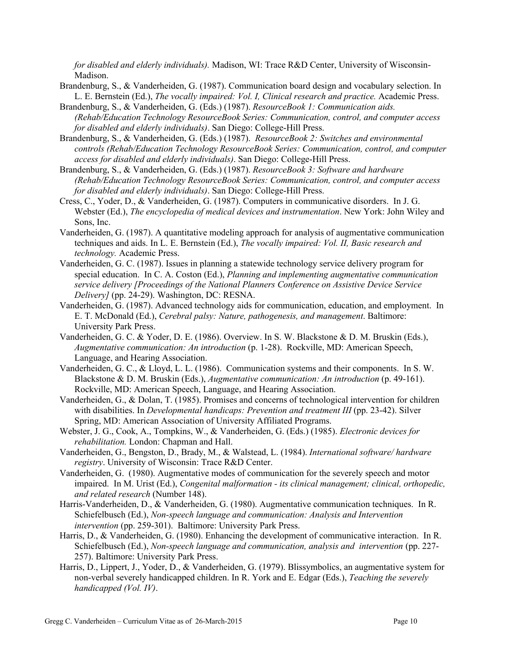*for disabled and elderly individuals).* Madison, WI: Trace R&D Center, University of Wisconsin-Madison.

- Brandenburg, S., & Vanderheiden, G. (1987). Communication board design and vocabulary selection. In L. E. Bernstein (Ed.), *The vocally impaired: Vol. I, Clinical research and practice.* Academic Press.
- Brandenburg, S., & Vanderheiden, G. (Eds.) (1987). *ResourceBook 1: Communication aids. (Rehab/Education Technology ResourceBook Series: Communication, control, and computer access for disabled and elderly individuals)*. San Diego: College-Hill Press.
- Brandenburg, S., & Vanderheiden, G. (Eds.) (1987). *ResourceBook 2: Switches and environmental controls (Rehab/Education Technology ResourceBook Series: Communication, control, and computer access for disabled and elderly individuals)*. San Diego: College-Hill Press.
- Brandenburg, S., & Vanderheiden, G. (Eds.) (1987). *ResourceBook 3: Software and hardware (Rehab/Education Technology ResourceBook Series: Communication, control, and computer access for disabled and elderly individuals)*. San Diego: College-Hill Press.
- Cress, C., Yoder, D., & Vanderheiden, G. (1987). Computers in communicative disorders. In J. G. Webster (Ed.), *The encyclopedia of medical devices and instrumentation*. New York: John Wiley and Sons, Inc.
- Vanderheiden, G. (1987). A quantitative modeling approach for analysis of augmentative communication techniques and aids. In L. E. Bernstein (Ed.), *The vocally impaired: Vol. II, Basic research and technology.* Academic Press.
- Vanderheiden, G. C. (1987). Issues in planning a statewide technology service delivery program for special education. In C. A. Coston (Ed.), *Planning and implementing augmentative communication service delivery [Proceedings of the National Planners Conference on Assistive Device Service Delivery]* (pp. 24-29). Washington, DC: RESNA.
- Vanderheiden, G. (1987). Advanced technology aids for communication, education, and employment. In E. T. McDonald (Ed.), *Cerebral palsy: Nature, pathogenesis, and management*. Baltimore: University Park Press.
- Vanderheiden, G. C. & Yoder, D. E. (1986). Overview. In S. W. Blackstone & D. M. Bruskin (Eds.), *Augmentative communication: An introduction* (p. 1-28). Rockville, MD: American Speech, Language, and Hearing Association.
- Vanderheiden, G. C., & Lloyd, L. L. (1986). Communication systems and their components. In S. W. Blackstone & D. M. Bruskin (Eds.), *Augmentative communication: An introduction* (p. 49-161). Rockville, MD: American Speech, Language, and Hearing Association.
- Vanderheiden, G., & Dolan, T. (1985). Promises and concerns of technological intervention for children with disabilities. In *Developmental handicaps: Prevention and treatment III* (pp. 23-42). Silver Spring, MD: American Association of University Affiliated Programs.
- Webster, J. G., Cook, A., Tompkins, W., & Vanderheiden, G. (Eds.) (1985). *Electronic devices for rehabilitation.* London: Chapman and Hall.
- Vanderheiden, G., Bengston, D., Brady, M., & Walstead, L. (1984). *International software/ hardware registry*. University of Wisconsin: Trace R&D Center.
- Vanderheiden, G. (1980). Augmentative modes of communication for the severely speech and motor impaired. In M. Urist (Ed.), *Congenital malformation - its clinical management; clinical, orthopedic, and related research* (Number 148).
- Harris-Vanderheiden, D., & Vanderheiden, G. (1980). Augmentative communication techniques. In R. Schiefelbusch (Ed.), *Non-speech language and communication: Analysis and Intervention intervention* (pp. 259-301). Baltimore: University Park Press.
- Harris, D., & Vanderheiden, G. (1980). Enhancing the development of communicative interaction. In R. Schiefelbusch (Ed.), *Non-speech language and communication, analysis and intervention* (pp. 227- 257). Baltimore: University Park Press.
- Harris, D., Lippert, J., Yoder, D., & Vanderheiden, G. (1979). Blissymbolics, an augmentative system for non-verbal severely handicapped children. In R. York and E. Edgar (Eds.), *Teaching the severely handicapped (Vol. IV)*.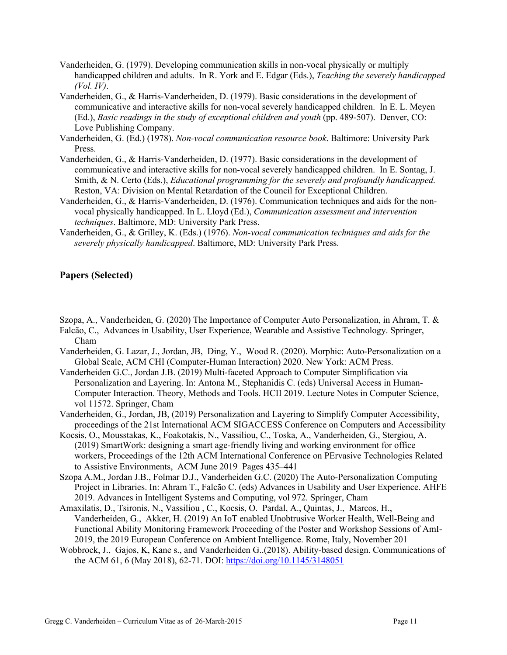- Vanderheiden, G. (1979). Developing communication skills in non-vocal physically or multiply handicapped children and adults. In R. York and E. Edgar (Eds.), *Teaching the severely handicapped (Vol. IV)*.
- Vanderheiden, G., & Harris-Vanderheiden, D. (1979). Basic considerations in the development of communicative and interactive skills for non-vocal severely handicapped children. In E. L. Meyen (Ed.), *Basic readings in the study of exceptional children and youth* (pp. 489-507). Denver, CO: Love Publishing Company.
- Vanderheiden, G. (Ed.) (1978). *Non-vocal communication resource book*. Baltimore: University Park Press.
- Vanderheiden, G., & Harris-Vanderheiden, D. (1977). Basic considerations in the development of communicative and interactive skills for non-vocal severely handicapped children. In E. Sontag, J. Smith, & N. Certo (Eds.), *Educational programming for the severely and profoundly handicapped*. Reston, VA: Division on Mental Retardation of the Council for Exceptional Children.
- Vanderheiden, G., & Harris-Vanderheiden, D. (1976). Communication techniques and aids for the nonvocal physically handicapped. In L. Lloyd (Ed.), *Communication assessment and intervention techniques*. Baltimore, MD: University Park Press.
- Vanderheiden, G., & Grilley, K. (Eds.) (1976). *Non-vocal communication techniques and aids for the severely physically handicapped*. Baltimore, MD: University Park Press.

### **Papers (Selected)**

- Szopa, A., Vanderheiden, G. (2020) The Importance of Computer Auto Personalization, in Ahram, T. &
- Falcão, C., Advances in Usability, User Experience, Wearable and Assistive Technology. Springer, Cham
- Vanderheiden, G. Lazar, J., Jordan, JB, Ding, Y., Wood R. (2020). Morphic: Auto-Personalization on a Global Scale, ACM CHI (Computer-Human Interaction) 2020. New York: ACM Press.
- Vanderheiden G.C., Jordan J.B. (2019) Multi-faceted Approach to Computer Simplification via Personalization and Layering. In: Antona M., Stephanidis C. (eds) Universal Access in Human-Computer Interaction. Theory, Methods and Tools. HCII 2019. Lecture Notes in Computer Science, vol 11572. Springer, Cham
- Vanderheiden, G., Jordan, JB, (2019) Personalization and Layering to Simplify Computer Accessibility, proceedings of the 21st International ACM SIGACCESS Conference on Computers and Accessibility
- Kocsis, O., Mousstakas, K., Foakotakis, N., Vassiliou, C., Toska, A., Vanderheiden, G., Stergiou, A. (2019) SmartWork: designing a smart age-friendly living and working environment for office workers, Proceedings of the 12th ACM International Conference on PErvasive Technologies Related to Assistive Environments, ACM June 2019 Pages 435–441
- Szopa A.M., Jordan J.B., Folmar D.J., Vanderheiden G.C. (2020) The Auto-Personalization Computing Project in Libraries. In: Ahram T., Falcão C. (eds) Advances in Usability and User Experience. AHFE 2019. Advances in Intelligent Systems and Computing, vol 972. Springer, Cham
- Amaxilatis, D., Tsironis, N., Vassiliou , C., Kocsis, O. Pardal, A., Quintas, J., Marcos, H., Vanderheiden, G., Akker, H. (2019) An IoT enabled Unobtrusive Worker Health, Well-Being and Functional Ability Monitoring Framework Proceeding of the Poster and Workshop Sessions of AmI-2019, the 2019 European Conference on Ambient Intelligence. Rome, Italy, November 201
- Wobbrock, J., Gajos, K, Kane s., and Vanderheiden G..(2018). Ability-based design. Communications of the ACM 61, 6 (May 2018), 62-71. DOI: https://doi.org/10.1145/3148051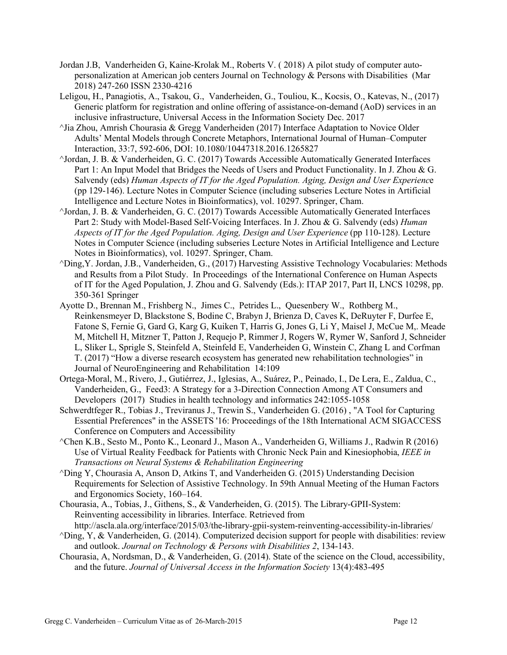- Jordan J.B, Vanderheiden G, Kaine-Krolak M., Roberts V. ( 2018) A pilot study of computer autopersonalization at American job centers Journal on Technology & Persons with Disabilities (Mar 2018) 247-260 ISSN 2330-4216
- Leligou, H., Panagiotis, A., Tsakou, G., Vanderheiden, G., Touliou, K., Kocsis, O., Katevas, N., (2017) Generic platform for registration and online offering of assistance-on-demand (AoD) services in an inclusive infrastructure, Universal Access in the Information Society Dec. 2017
- $\gamma$ Jia Zhou, Amrish Chourasia & Gregg Vanderheiden (2017) Interface Adaptation to Novice Older Adults' Mental Models through Concrete Metaphors, International Journal of Human–Computer Interaction, 33:7, 592-606, DOI: 10.1080/10447318.2016.1265827
- ^Jordan, J. B. & Vanderheiden, G. C. (2017) Towards Accessible Automatically Generated Interfaces Part 1: An Input Model that Bridges the Needs of Users and Product Functionality. In J. Zhou & G. Salvendy (eds) *Human Aspects of IT for the Aged Population. Aging, Design and User Experienc*e (pp 129-146). Lecture Notes in Computer Science (including subseries Lecture Notes in Artificial Intelligence and Lecture Notes in Bioinformatics), vol. 10297. Springer, Cham.
- ^Jordan, J. B. & Vanderheiden, G. C. (2017) Towards Accessible Automatically Generated Interfaces Part 2: Study with Model-Based Self-Voicing Interfaces. In J. Zhou & G. Salvendy (eds) *Human Aspects of IT for the Aged Population. Aging, Design and User Experience* (pp 110-128). Lecture Notes in Computer Science (including subseries Lecture Notes in Artificial Intelligence and Lecture Notes in Bioinformatics), vol. 10297. Springer, Cham.
- ^Ding,Y. Jordan, J.B., Vanderheiden, G., (2017) Harvesting Assistive Technology Vocabularies: Methods and Results from a Pilot Study. In Proceedings of the International Conference on Human Aspects of IT for the Aged Population, J. Zhou and G. Salvendy (Eds.): ITAP 2017, Part II, LNCS 10298, pp. 350-361 Springer
- Ayotte D., Brennan M., Frishberg N., Jimes C., Petrides L., Quesenbery W., Rothberg M., Reinkensmeyer D, Blackstone S, Bodine C, Brabyn J, Brienza D, Caves K, DeRuyter F, Durfee E, Fatone S, Fernie G, Gard G, Karg G, Kuiken T, Harris G, Jones G, Li Y, Maisel J, McCue M,. Meade M, Mitchell H, Mitzner T, Patton J, Requejo P, Rimmer J, Rogers W, Rymer W, Sanford J, Schneider L, Sliker L, Sprigle S, Steinfeld A, Steinfeld E, Vanderheiden G, Winstein C, Zhang L and Corfman T. (2017) "How a diverse research ecosystem has generated new rehabilitation technologies" in Journal of NeuroEngineering and Rehabilitation 14:109
- Ortega-Moral, M., Rivero, J., Gutiérrez, J., Iglesias, A., Suárez, P., Peinado, I., De Lera, E., Zaldua, C., Vanderheiden, G., Feed3: A Strategy for a 3-Direction Connection Among AT Consumers and Developers (2017) Studies in health technology and informatics 242:1055-1058
- Schwerdtfeger R., Tobias J., Treviranus J., Trewin S., Vanderheiden G. (2016) , "A Tool for Capturing Essential Preferences" in the ASSETS '16: Proceedings of the 18th International ACM SIGACCESS Conference on Computers and Accessibility
- ^Chen K.B., Sesto M., Ponto K., Leonard J., Mason A., Vanderheiden G, Williams J., Radwin R (2016) Use of Virtual Reality Feedback for Patients with Chronic Neck Pain and Kinesiophobia, *IEEE in Transactions on Neural Systems & Rehabilitation Engineering*
- ^Ding Y, Chourasia A, Anson D, Atkins T, and Vanderheiden G. (2015) Understanding Decision Requirements for Selection of Assistive Technology. In 59th Annual Meeting of the Human Factors and Ergonomics Society, 160–164.
- Chourasia, A., Tobias, J., Githens, S., & Vanderheiden, G. (2015). The Library-GPII-System: Reinventing accessibility in libraries. Interface. Retrieved from http://ascla.ala.org/interface/2015/03/the-library-gpii-system-reinventing-accessibility-in-libraries/
- $\Delta$ Ding, Y, & Vanderheiden, G. (2014). Computerized decision support for people with disabilities: review and outlook. *Journal on Technology & Persons with Disabilities 2*, 134-143.
- Chourasia, A, Nordsman, D., & Vanderheiden, G. (2014). State of the science on the Cloud, accessibility, and the future. *Journal of Universal Access in the Information Society* 13(4):483-495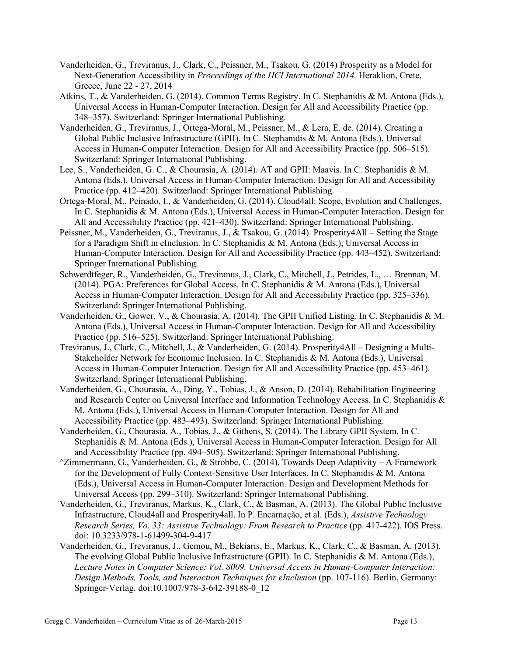- Vanderheiden, G., Treviranus, J., Clark, C., Peissner, M., Tsakou, G. (2014) Prosperity as a Model for Next-Generation Accessibility in *Proceedings of the HCI International 2014,* Heraklion, Crete, Greece, June 22 - 27, 2014
- Atkins, T., & Vanderheiden, G. (2014). Common Terms Registry. In C. Stephanidis & M. Antona (Eds.), Universal Access in Human-Computer Interaction. Design for All and Accessibility Practice (pp. 348–357). Switzerland: Springer International Publishing.
- Vanderheiden, G., Treviranus, J., Ortega-Moral, M., Peissner, M., & Lera, E. de. (2014). Creating a Global Public Inclusive Infrastructure (GPII). In C. Stephanidis & M. Antona (Eds.), Universal Access in Human-Computer Interaction. Design for All and Accessibility Practice (pp. 506–515). Switzerland: Springer International Publishing.
- Lee, S., Vanderheiden, G. C., & Chourasia, A. (2014). AT and GPII: Maavis. In C. Stephanidis & M. Antona (Eds.), Universal Access in Human-Computer Interaction. Design for All and Accessibility Practice (pp. 412–420). Switzerland: Springer International Publishing.
- Ortega-Moral, M., Peinado, I., & Vanderheiden, G. (2014). Cloud4all: Scope, Evolution and Challenges. In C. Stephanidis & M. Antona (Eds.), Universal Access in Human-Computer Interaction. Design for All and Accessibility Practice (pp. 421–430). Switzerland: Springer International Publishing.
- Peissner, M., Vanderheiden, G., Treviranus, J., & Tsakou, G. (2014). Prosperity4All Setting the Stage for a Paradigm Shift in eInclusion. In C. Stephanidis & M. Antona (Eds.), Universal Access in Human-Computer Interaction. Design for All and Accessibility Practice (pp. 443–452). Switzerland: Springer International Publishing.
- Schwerdtfeger, R., Vanderheiden, G., Treviranus, J., Clark, C., Mitchell, J., Petrides, L., … Brennan, M. (2014). PGA: Preferences for Global Access. In C. Stephanidis & M. Antona (Eds.), Universal Access in Human-Computer Interaction. Design for All and Accessibility Practice (pp. 325–336). Switzerland: Springer International Publishing.
- Vanderheiden, G., Gower, V., & Chourasia, A. (2014). The GPII Unified Listing. In C. Stephanidis & M. Antona (Eds.), Universal Access in Human-Computer Interaction. Design for All and Accessibility Practice (pp. 516–525). Switzerland: Springer International Publishing.
- Treviranus, J., Clark, C., Mitchell, J., & Vanderheiden, G. (2014). Prosperity4All Designing a Multi-Stakeholder Network for Economic Inclusion. In C. Stephanidis & M. Antona (Eds.), Universal Access in Human-Computer Interaction. Design for All and Accessibility Practice (pp. 453–461). Switzerland: Springer International Publishing.
- Vanderheiden, G., Chourasia, A., Ding, Y., Tobias, J., & Anson, D. (2014). Rehabilitation Engineering and Research Center on Universal Interface and Information Technology Access. In C. Stephanidis & M. Antona (Eds.), Universal Access in Human-Computer Interaction. Design for All and Accessibility Practice (pp. 483–493). Switzerland: Springer International Publishing.
- Vanderheiden, G., Chourasia, A., Tobias, J., & Githens, S. (2014). The Library GPII System. In C. Stephanidis & M. Antona (Eds.), Universal Access in Human-Computer Interaction. Design for All and Accessibility Practice (pp. 494–505). Switzerland: Springer International Publishing.
- ^Zimmermann, G., Vanderheiden, G., & Strobbe, C. (2014). Towards Deep Adaptivity A Framework for the Development of Fully Context-Sensitive User Interfaces. In C. Stephanidis & M. Antona (Eds.), Universal Access in Human-Computer Interaction. Design and Development Methods for Universal Access (pp. 299–310). Switzerland: Springer International Publishing.
- Vanderheiden, G., Treviranus, Markus, K., Clark, C., & Basman, A. (2013). The Global Public Inclusive Infrastructure, Cloud4all and Prosperity4all. In P. Encarnação, et al. (Eds.), *Assistive Technology Research Series, Vo. 33: Assistive Technology: From Research to Practice* (pp. 417-422). IOS Press. doi: 10.3233/978-1-61499-304-9-417
- Vanderheiden, G., Treviranus, J., Gemou, M., Bekiaris, E., Markus, K., Clark, C., & Basman, A. (2013). The evolving Global Public Inclusive Infrastructure (GPII). In C. Stephanidis & M. Antona (Eds.), *Lecture Notes in Computer Science: Vol. 8009. Universal Access in Human-Computer Interaction: Design Methods, Tools, and Interaction Techniques for eInclusion* (pp. 107-116). Berlin, Germany: Springer-Verlag. doi:10.1007/978-3-642-39188-0\_12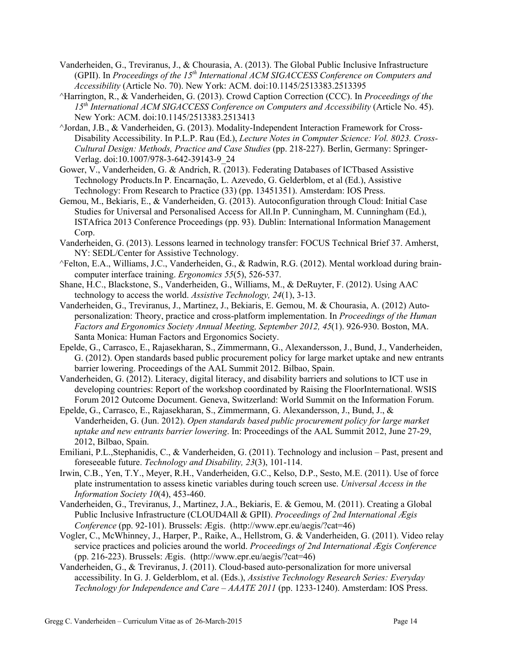- Vanderheiden, G., Treviranus, J., & Chourasia, A. (2013). The Global Public Inclusive Infrastructure (GPII). In *Proceedings of the 15<sup>th</sup> International ACM SIGACCESS Conference on Computers and Accessibility* (Article No. 70). New York: ACM. doi:10.1145/2513383.2513395
- ^Harrington, R., & Vanderheiden, G. (2013). Crowd Caption Correction (CCC). In *Proceedings of the 15th International ACM SIGACCESS Conference on Computers and Accessibility* (Article No. 45). New York: ACM. doi:10.1145/2513383.2513413
- ^Jordan, J.B., & Vanderheiden, G. (2013). Modality-Independent Interaction Framework for Cross-Disability Accessibility. In P.L.P. Rau (Ed.), *Lecture Notes in Computer Science: Vol. 8023. Cross-Cultural Design: Methods, Practice and Case Studies* (pp. 218-227). Berlin, Germany: Springer-Verlag. doi:10.1007/978-3-642-39143-9\_24
- Gower, V., Vanderheiden, G. & Andrich, R. (2013). Federating Databases of ICTbased Assistive Technology Products.In P. Encarnação, L. Azevedo, G. Gelderblom, et al (Ed.), Assistive Technology: From Research to Practice (33) (pp. 13451351). Amsterdam: IOS Press.
- Gemou, M., Bekiaris, E., & Vanderheiden, G. (2013). Autoconfiguration through Cloud: Initial Case Studies for Universal and Personalised Access for All.In P. Cunningham, M. Cunningham (Ed.), ISTAfrica 2013 Conference Proceedings (pp. 93). Dublin: International Information Management Corp.
- Vanderheiden, G. (2013). Lessons learned in technology transfer: FOCUS Technical Brief 37. Amherst, NY: SEDL/Center for Assistive Technology.
- ^Felton, E.A., Williams, J.C., Vanderheiden, G., & Radwin, R.G. (2012). Mental workload during braincomputer interface training. *Ergonomics 55*(5), 526-537.
- Shane, H.C., Blackstone, S., Vanderheiden, G., Williams, M., & DeRuyter, F. (2012). Using AAC technology to access the world. *Assistive Technology, 24*(1), 3-13.
- Vanderheiden, G., Treviranus, J., Martinez, J., Bekiaris, E. Gemou, M. & Chourasia, A. (2012) Autopersonalization: Theory, practice and cross-platform implementation. In *Proceedings of the Human Factors and Ergonomics Society Annual Meeting, September 2012, 45*(1). 926-930. Boston, MA. Santa Monica: Human Factors and Ergonomics Society.
- Epelde, G., Carrasco, E., Rajasekharan, S., Zimmermann, G., Alexandersson, J., Bund, J., Vanderheiden, G. (2012). Open standards based public procurement policy for large market uptake and new entrants barrier lowering. Proceedings of the AAL Summit 2012. Bilbao, Spain.
- Vanderheiden, G. (2012). Literacy, digital literacy, and disability barriers and solutions to ICT use in developing countries: Report of the workshop coordinated by Raising the FloorInternational. WSIS Forum 2012 Outcome Document. Geneva, Switzerland: World Summit on the Information Forum.
- Epelde, G., Carrasco, E., Rajasekharan, S., Zimmermann, G. Alexandersson, J., Bund, J., & Vanderheiden, G. (Jun. 2012). *Open standards based public procurement policy for large market uptake and new entrants barrier lowering*. In: Proceedings of the AAL Summit 2012, June 27-29, 2012, Bilbao, Spain.
- Emiliani, P.L.,Stephanidis, C., & Vanderheiden, G. (2011). Technology and inclusion Past, present and foreseeable future. *Technology and Disability, 23*(3), 101-114.
- Irwin, C.B., Yen, T.Y., Meyer, R.H., Vanderheiden, G.C., Kelso, D.P., Sesto, M.E. (2011). Use of force plate instrumentation to assess kinetic variables during touch screen use. *Universal Access in the Information Society 10*(4), 453-460.
- Vanderheiden, G., Treviranus, J., Martinez, J.A., Bekiaris, E. & Gemou, M. (2011). Creating a Global Public Inclusive Infrastructure (CLOUD4All & GPII). *Proceedings of 2nd International Ægis Conference* (pp. 92-101). Brussels: Ægis. (http://www.epr.eu/aegis/?cat=46)
- Vogler, C., McWhinney, J., Harper, P., Raike, A., Hellstrom, G. & Vanderheiden, G. (2011). Video relay service practices and policies around the world. *Proceedings of 2nd International Ægis Conference*  (pp. 216-223). Brussels: Ægis. (http://www.epr.eu/aegis/?cat=46)
- Vanderheiden, G., & Treviranus, J. (2011). Cloud-based auto-personalization for more universal accessibility. In G. J. Gelderblom, et al. (Eds.), *Assistive Technology Research Series: Everyday Technology for Independence and Care – AAATE 2011* (pp. 1233-1240). Amsterdam: IOS Press.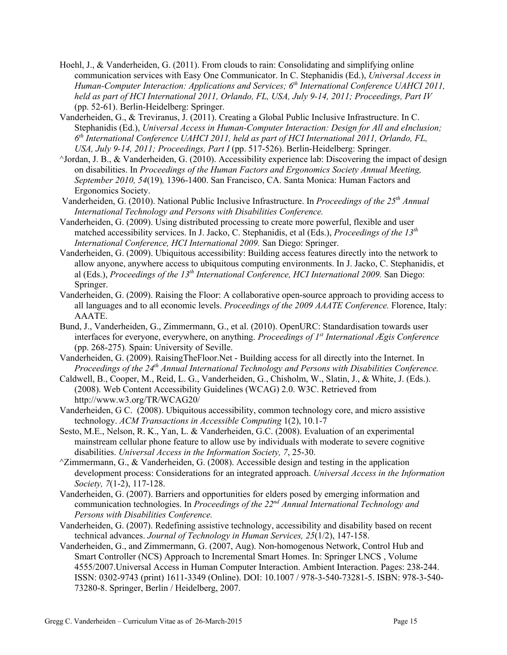- Hoehl, J., & Vanderheiden, G. (2011). From clouds to rain: Consolidating and simplifying online communication services with Easy One Communicator. In C. Stephanidis (Ed.), *Universal Access in Human-Computer Interaction: Applications and Services; 6th International Conference UAHCI 2011, held as part of HCI International 2011, Orlando, FL, USA, July 9-14, 2011; Proceedings, Part IV*  (pp. 52-61). Berlin-Heidelberg: Springer.
- Vanderheiden, G., & Treviranus, J. (2011). Creating a Global Public Inclusive Infrastructure. In C. Stephanidis (Ed.), *Universal Access in Human-Computer Interaction: Design for All and eInclusion; 6th International Conference UAHCI 2011, held as part of HCI International 2011, Orlando, FL, USA, July 9-14, 2011; Proceedings, Part I* (pp. 517-526). Berlin-Heidelberg: Springer.
- ^Jordan, J. B., & Vanderheiden, G. (2010). Accessibility experience lab: Discovering the impact of design on disabilities. In *Proceedings of the Human Factors and Ergonomics Society Annual Meeting, September 2010, 54*(19)*,* 1396-1400. San Francisco, CA. Santa Monica: Human Factors and Ergonomics Society.
- Vanderheiden, G. (2010). National Public Inclusive Infrastructure. In *Proceedings of the 25th Annual International Technology and Persons with Disabilities Conference.*
- Vanderheiden, G. (2009). Using distributed processing to create more powerful, flexible and user matched accessibility services. In J. Jacko, C. Stephanidis, et al (Eds.), *Proceedings of the 13th International Conference, HCI International 2009.* San Diego: Springer.
- Vanderheiden, G. (2009). Ubiquitous accessibility: Building access features directly into the network to allow anyone, anywhere access to ubiquitous computing environments. In J. Jacko, C. Stephanidis, et al (Eds.), *Proceedings of the 13th International Conference, HCI International 2009.* San Diego: Springer.
- Vanderheiden, G. (2009). Raising the Floor: A collaborative open-source approach to providing access to all languages and to all economic levels. *Proceedings of the 2009 AAATE Conference.* Florence, Italy: AAATE.
- Bund, J., Vanderheiden, G., Zimmermann, G., et al. (2010). OpenURC: Standardisation towards user interfaces for everyone, everywhere, on anything. *Proceedings of 1st International Ægis Conference* (pp. 268-275)*.* Spain: University of Seville.
- Vanderheiden, G. (2009). RaisingTheFloor.Net Building access for all directly into the Internet. In *Proceedings of the 24th Annual International Technology and Persons with Disabilities Conference.*
- Caldwell, B., Cooper, M., Reid, L. G., Vanderheiden, G., Chisholm, W., Slatin, J., & White, J. (Eds.). (2008). Web Content Accessibility Guidelines (WCAG) 2.0. W3C. Retrieved from http://www.w3.org/TR/WCAG20/
- Vanderheiden, G C. (2008). Ubiquitous accessibility, common technology core, and micro assistive technology. *ACM Transactions in Accessible Computing* 1(2), 10.1-7
- Sesto, M.E., Nelson, R. K., Yan, L. & Vanderheiden, G.C. (2008). Evaluation of an experimental mainstream cellular phone feature to allow use by individuals with moderate to severe cognitive disabilities. *Universal Access in the Information Society, 7*, 25-30.
- $\gamma$ Zimmermann, G., & Vanderheiden, G. (2008). Accessible design and testing in the application development process: Considerations for an integrated approach. *Universal Access in the Information Society, 7*(1-2), 117-128.
- Vanderheiden, G. (2007). Barriers and opportunities for elders posed by emerging information and communication technologies. In *Proceedings of the 22nd Annual International Technology and Persons with Disabilities Conference.*
- Vanderheiden, G. (2007). Redefining assistive technology, accessibility and disability based on recent technical advances. *Journal of Technology in Human Services, 25*(1/2), 147-158.
- Vanderheiden, G., and Zimmermann, G. (2007, Aug). Non-homogenous Network, Control Hub and Smart Controller (NCS) Approach to Incremental Smart Homes. In: Springer LNCS , Volume 4555/2007.Universal Access in Human Computer Interaction. Ambient Interaction. Pages: 238-244. ISSN: 0302-9743 (print) 1611-3349 (Online). DOI: 10.1007 / 978-3-540-73281-5. ISBN: 978-3-540- 73280-8. Springer, Berlin / Heidelberg, 2007.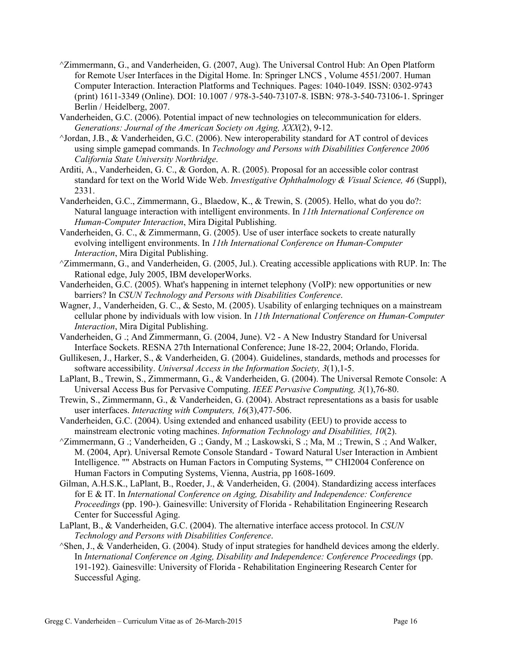- ^Zimmermann, G., and Vanderheiden, G. (2007, Aug). The Universal Control Hub: An Open Platform for Remote User Interfaces in the Digital Home. In: Springer LNCS , Volume 4551/2007. Human Computer Interaction. Interaction Platforms and Techniques. Pages: 1040-1049. ISSN: 0302-9743 (print) 1611-3349 (Online). DOI: 10.1007 / 978-3-540-73107-8. ISBN: 978-3-540-73106-1. Springer Berlin / Heidelberg, 2007.
- Vanderheiden, G.C. (2006). Potential impact of new technologies on telecommunication for elders. *Generations: Journal of the American Society on Aging, XXX*(2), 9-12.
- ^Jordan, J.B., & Vanderheiden, G.C. (2006). New interoperability standard for AT control of devices using simple gamepad commands. In *Technology and Persons with Disabilities Conference 2006 California State University Northridge*.
- Arditi, A., Vanderheiden, G. C., & Gordon, A. R. (2005). Proposal for an accessible color contrast standard for text on the World Wide Web. *Investigative Ophthalmology & Visual Science, 46* (Suppl), 2331.
- Vanderheiden, G.C., Zimmermann, G., Blaedow, K., & Trewin, S. (2005). Hello, what do you do?: Natural language interaction with intelligent environments. In *11th International Conference on Human-Computer Interaction*, Mira Digital Publishing.
- Vanderheiden, G. C., & Zimmermann, G. (2005). Use of user interface sockets to create naturally evolving intelligent environments. In *11th International Conference on Human-Computer Interaction*, Mira Digital Publishing.
- ^Zimmermann, G., and Vanderheiden, G. (2005, Jul.). Creating accessible applications with RUP. In: The Rational edge, July 2005, IBM developerWorks.
- Vanderheiden, G.C. (2005). What's happening in internet telephony (VoIP): new opportunities or new barriers? In *CSUN Technology and Persons with Disabilities Conference*.
- Wagner, J., Vanderheiden, G. C., & Sesto, M. (2005). Usability of enlarging techniques on a mainstream cellular phone by individuals with low vision. In *11th International Conference on Human-Computer Interaction*, Mira Digital Publishing.
- Vanderheiden, G .; And Zimmermann, G. (2004, June). V2 A New Industry Standard for Universal Interface Sockets. RESNA 27th International Conference; June 18-22, 2004; Orlando, Florida.
- Gullikesen, J., Harker, S., & Vanderheiden, G. (2004). Guidelines, standards, methods and processes for software accessibility. *Universal Access in the Information Society, 3*(1),1-5.
- LaPlant, B., Trewin, S., Zimmermann, G., & Vanderheiden, G. (2004). The Universal Remote Console: A Universal Access Bus for Pervasive Computing. *IEEE Pervasive Computing, 3*(1),76-80.
- Trewin, S., Zimmermann, G., & Vanderheiden, G. (2004). Abstract representations as a basis for usable user interfaces. *Interacting with Computers, 16*(3),477-506.
- Vanderheiden, G.C. (2004). Using extended and enhanced usability (EEU) to provide access to mainstream electronic voting machines. *Information Technology and Disabilities, 10*(2).
- $\gamma$ Zimmermann, G .; Vanderheiden, G .; Gandy, M .; Laskowski, S .; Ma, M .; Trewin, S .; And Walker, M. (2004, Apr). Universal Remote Console Standard - Toward Natural User Interaction in Ambient Intelligence. "" Abstracts on Human Factors in Computing Systems, "" CHI2004 Conference on Human Factors in Computing Systems, Vienna, Austria, pp 1608-1609.
- Gilman, A.H.S.K., LaPlant, B., Roeder, J., & Vanderheiden, G. (2004). Standardizing access interfaces for E & IT. In *International Conference on Aging, Disability and Independence: Conference Proceedings* (pp. 190-). Gainesville: University of Florida - Rehabilitation Engineering Research Center for Successful Aging.
- LaPlant, B., & Vanderheiden, G.C. (2004). The alternative interface access protocol. In *CSUN Technology and Persons with Disabilities Conference*.
- ^Shen, J., & Vanderheiden, G. (2004). Study of input strategies for handheld devices among the elderly. In *International Conference on Aging, Disability and Independence: Conference Proceedings* (pp. 191-192). Gainesville: University of Florida - Rehabilitation Engineering Research Center for Successful Aging.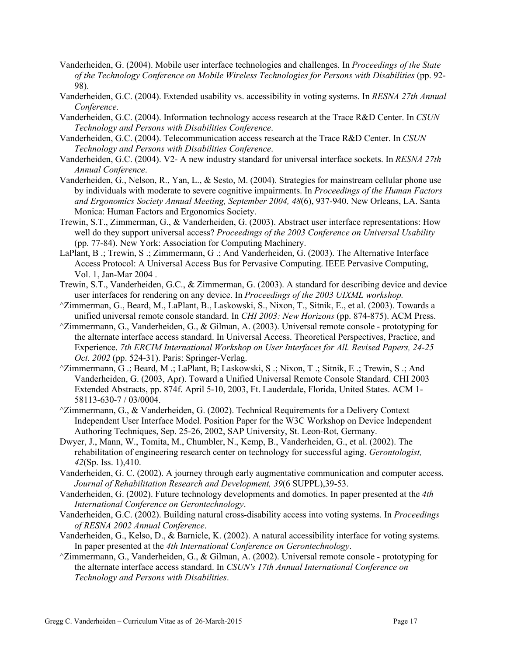- Vanderheiden, G. (2004). Mobile user interface technologies and challenges. In *Proceedings of the State of the Technology Conference on Mobile Wireless Technologies for Persons with Disabilities* (pp. 92- 98).
- Vanderheiden, G.C. (2004). Extended usability vs. accessibility in voting systems. In *RESNA 27th Annual Conference*.
- Vanderheiden, G.C. (2004). Information technology access research at the Trace R&D Center. In *CSUN Technology and Persons with Disabilities Conference*.
- Vanderheiden, G.C. (2004). Telecommunication access research at the Trace R&D Center. In *CSUN Technology and Persons with Disabilities Conference*.
- Vanderheiden, G.C. (2004). V2- A new industry standard for universal interface sockets. In *RESNA 27th Annual Conference*.
- Vanderheiden, G., Nelson, R., Yan, L., & Sesto, M. (2004). Strategies for mainstream cellular phone use by individuals with moderate to severe cognitive impairments. In *Proceedings of the Human Factors and Ergonomics Society Annual Meeting, September 2004, 48*(6), 937-940. New Orleans, LA. Santa Monica: Human Factors and Ergonomics Society.
- Trewin, S.T., Zimmerman, G., & Vanderheiden, G. (2003). Abstract user interface representations: How well do they support universal access? *Proceedings of the 2003 Conference on Universal Usability* (pp. 77-84). New York: Association for Computing Machinery.
- LaPlant, B .; Trewin, S .; Zimmermann, G .; And Vanderheiden, G. (2003). The Alternative Interface Access Protocol: A Universal Access Bus for Pervasive Computing. IEEE Pervasive Computing, Vol. 1, Jan-Mar 2004 .
- Trewin, S.T., Vanderheiden, G.C., & Zimmerman, G. (2003). A standard for describing device and device user interfaces for rendering on any device. In *Proceedings of the 2003 UIXML workshop.*
- ^Zimmerman, G., Beard, M., LaPlant, B., Laskowski, S., Nixon, T., Sitnik, E., et al. (2003). Towards a unified universal remote console standard. In *CHI 2003: New Horizons* (pp. 874-875). ACM Press.
- $^{\wedge}$ Zimmermann, G., Vanderheiden, G., & Gilman, A. (2003). Universal remote console prototyping for the alternate interface access standard. In Universal Access. Theoretical Perspectives, Practice, and Experience. *7th ERCIM International Workshop on User Interfaces for All. Revised Papers, 24-25 Oct. 2002* (pp. 524-31). Paris: Springer-Verlag.
- ^Zimmermann, G .; Beard, M .; LaPlant, B; Laskowski, S .; Nixon, T .; Sitnik, E .; Trewin, S .; And Vanderheiden, G. (2003, Apr). Toward a Unified Universal Remote Console Standard. CHI 2003 Extended Abstracts, pp. 874f. April 5-10, 2003, Ft. Lauderdale, Florida, United States. ACM 1- 58113-630-7 / 03/0004.
- $\gamma$ Zimmermann, G., & Vanderheiden, G. (2002). Technical Requirements for a Delivery Context Independent User Interface Model. Position Paper for the W3C Workshop on Device Independent Authoring Techniques, Sep. 25-26, 2002, SAP University, St. Leon-Rot, Germany.
- Dwyer, J., Mann, W., Tomita, M., Chumbler, N., Kemp, B., Vanderheiden, G., et al. (2002). The rehabilitation of engineering research center on technology for successful aging. *Gerontologist, 42*(Sp. Iss. 1),410.
- Vanderheiden, G. C. (2002). A journey through early augmentative communication and computer access. *Journal of Rehabilitation Research and Development, 39*(6 SUPPL),39-53.
- Vanderheiden, G. (2002). Future technology developments and domotics. In paper presented at the *4th International Conference on Gerontechnology*.
- Vanderheiden, G.C. (2002). Building natural cross-disability access into voting systems. In *Proceedings of RESNA 2002 Annual Conference*.
- Vanderheiden, G., Kelso, D., & Barnicle, K. (2002). A natural accessibility interface for voting systems. In paper presented at the *4th International Conference on Gerontechnology*.
- $\gamma$ Zimmermann, G., Vanderheiden, G., & Gilman, A. (2002). Universal remote console prototyping for the alternate interface access standard. In *CSUN's 17th Annual International Conference on Technology and Persons with Disabilities*.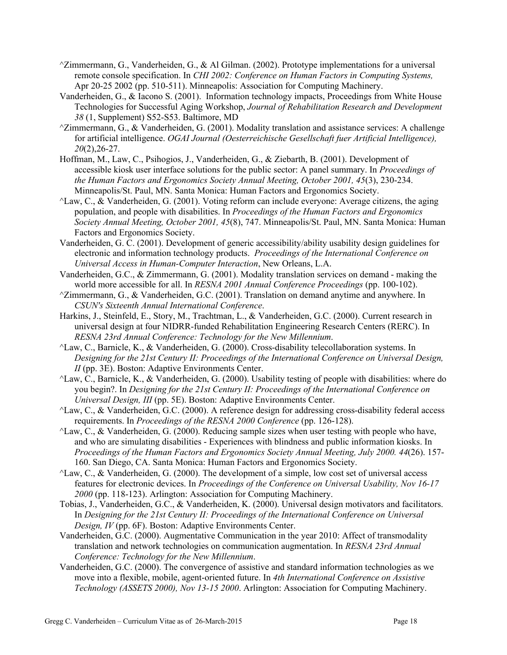- $\gamma$ Zimmermann, G., Vanderheiden, G., & Al Gilman. (2002). Prototype implementations for a universal remote console specification. In *CHI 2002: Conference on Human Factors in Computing Systems,* Apr 20-25 2002 (pp. 510-511). Minneapolis: Association for Computing Machinery.
- Vanderheiden, G., & Iacono S. (2001). Information technology impacts, Proceedings from White House Technologies for Successful Aging Workshop, *Journal of Rehabilitation Research and Development 38* (1, Supplement) S52-S53. Baltimore, MD
- $\gamma$ Zimmermann, G., & Vanderheiden, G. (2001). Modality translation and assistance services: A challenge for artificial intelligence. *OGAI Journal (Oesterreichische Gesellschaft fuer Artificial Intelligence), 20*(2),26-27.
- Hoffman, M., Law, C., Psihogios, J., Vanderheiden, G., & Ziebarth, B. (2001). Development of accessible kiosk user interface solutions for the public sector: A panel summary. In *Proceedings of the Human Factors and Ergonomics Society Annual Meeting, October 2001, 45*(3), 230-234. Minneapolis/St. Paul, MN. Santa Monica: Human Factors and Ergonomics Society.
- $\Delta$ Law, C., & Vanderheiden, G. (2001). Voting reform can include everyone: Average citizens, the aging population, and people with disabilities. In *Proceedings of the Human Factors and Ergonomics Society Annual Meeting, October 2001, 45*(8), 747. Minneapolis/St. Paul, MN. Santa Monica: Human Factors and Ergonomics Society.
- Vanderheiden, G. C. (2001). Development of generic accessibility/ability usability design guidelines for electronic and information technology products. *Proceedings of the International Conference on Universal Access in Human-Computer Interaction*, New Orleans, L.A.
- Vanderheiden, G.C., & Zimmermann, G. (2001). Modality translation services on demand making the world more accessible for all. In *RESNA 2001 Annual Conference Proceedings* (pp. 100-102).
- ^Zimmermann, G., & Vanderheiden, G.C. (2001). Translation on demand anytime and anywhere. In *CSUN's Sixteenth Annual International Conference*.
- Harkins, J., Steinfeld, E., Story, M., Trachtman, L., & Vanderheiden, G.C. (2000). Current research in universal design at four NIDRR-funded Rehabilitation Engineering Research Centers (RERC). In *RESNA 23rd Annual Conference: Technology for the New Millennium*.
- ^Law, C., Barnicle, K., & Vanderheiden, G. (2000). Cross-disability telecollaboration systems. In *Designing for the 21st Century II: Proceedings of the International Conference on Universal Design, II* (pp. 3E). Boston: Adaptive Environments Center.
- ^Law, C., Barnicle, K., & Vanderheiden, G. (2000). Usability testing of people with disabilities: where do you begin?. In *Designing for the 21st Century II: Proceedings of the International Conference on Universal Design, III* (pp. 5E). Boston: Adaptive Environments Center.
- $\Delta$ Law, C., & Vanderheiden, G.C. (2000). A reference design for addressing cross-disability federal access requirements. In *Proceedings of the RESNA 2000 Conference* (pp. 126-128).
- $\Delta$ Law, C., & Vanderheiden, G. (2000). Reducing sample sizes when user testing with people who have, and who are simulating disabilities - Experiences with blindness and public information kiosks. In *Proceedings of the Human Factors and Ergonomics Society Annual Meeting, July 2000. 44*(26). 157- 160. San Diego, CA. Santa Monica: Human Factors and Ergonomics Society.
- ^Law, C., & Vanderheiden, G. (2000). The development of a simple, low cost set of universal access features for electronic devices. In *Proceedings of the Conference on Universal Usability, Nov 16-17 2000* (pp. 118-123). Arlington: Association for Computing Machinery.
- Tobias, J., Vanderheiden, G.C., & Vanderheiden, K. (2000). Universal design motivators and facilitators. In *Designing for the 21st Century II: Proceedings of the International Conference on Universal Design, IV* (pp. 6F). Boston: Adaptive Environments Center.
- Vanderheiden, G.C. (2000). Augmentative Communication in the year 2010: Affect of transmodality translation and network technologies on communication augmentation. In *RESNA 23rd Annual Conference: Technology for the New Millennium*.
- Vanderheiden, G.C. (2000). The convergence of assistive and standard information technologies as we move into a flexible, mobile, agent-oriented future. In *4th International Conference on Assistive Technology (ASSETS 2000), Nov 13-15 2000*. Arlington: Association for Computing Machinery.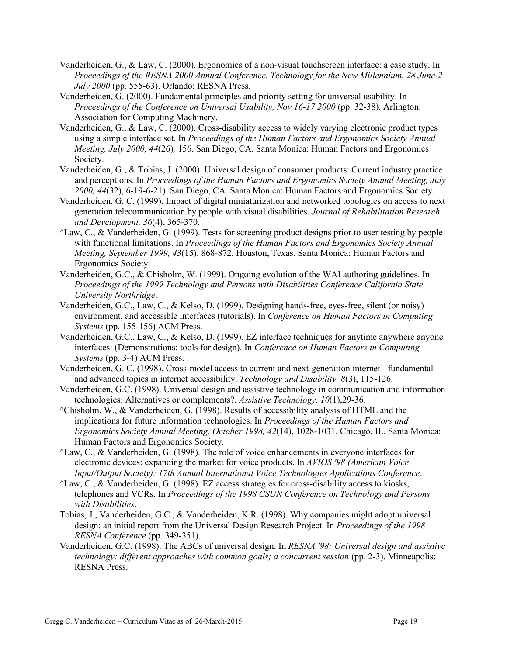- Vanderheiden, G., & Law, C. (2000). Ergonomics of a non-visual touchscreen interface: a case study. In *Proceedings of the RESNA 2000 Annual Conference. Technology for the New Millennium, 28 June-2 July 2000* (pp. 555-63). Orlando: RESNA Press.
- Vanderheiden, G. (2000). Fundamental principles and priority setting for universal usability. In *Proceedings of the Conference on Universal Usability, Nov 16-17 2000* (pp. 32-38). Arlington: Association for Computing Machinery.
- Vanderheiden, G., & Law, C. (2000). Cross-disability access to widely varying electronic product types using a simple interface set. In *Proceedings of the Human Factors and Ergonomics Society Annual Meeting, July 2000, 44*(26)*,* 156. San Diego, CA. Santa Monica: Human Factors and Ergonomics Society.
- Vanderheiden, G., & Tobias, J. (2000). Universal design of consumer products: Current industry practice and perceptions. In *Proceedings of the Human Factors and Ergonomics Society Annual Meeting, July 2000, 44*(32), 6-19-6-21). San Diego, CA. Santa Monica: Human Factors and Ergonomics Society.
- Vanderheiden, G. C. (1999). Impact of digital miniaturization and networked topologies on access to next generation telecommunication by people with visual disabilities. *Journal of Rehabilitation Research and Development, 36*(4), 365-370.
- ^Law, C., & Vanderheiden, G. (1999). Tests for screening product designs prior to user testing by people with functional limitations. In *Proceedings of the Human Factors and Ergonomics Society Annual Meeting, September 1999, 43*(15). 868-872. Houston, Texas. Santa Monica: Human Factors and Ergonomics Society.
- Vanderheiden, G.C., & Chisholm, W. (1999). Ongoing evolution of the WAI authoring guidelines. In *Proceedings of the 1999 Technology and Persons with Disabilities Conference California State University Northridge*.
- Vanderheiden, G.C., Law, C., & Kelso, D. (1999). Designing hands-free, eyes-free, silent (or noisy) environment, and accessible interfaces (tutorials). In *Conference on Human Factors in Computing Systems* (pp. 155-156) ACM Press.
- Vanderheiden, G.C., Law, C., & Kelso, D. (1999). EZ interface techniques for anytime anywhere anyone interfaces: (Demonstrations: tools for design). In *Conference on Human Factors in Computing Systems* (pp. 3-4) ACM Press.
- Vanderheiden, G. C. (1998). Cross-model access to current and next-generation internet fundamental and advanced topics in internet accessibility. *Technology and Disability, 8*(3), 115-126.
- Vanderheiden, G.C. (1998). Universal design and assistive technology in communication and information technologies: Alternatives or complements?. *Assistive Technology, 10*(1),29-36.
- $\Diamond$ Chisholm, W., & Vanderheiden, G. (1998). Results of accessibility analysis of HTML and the implications for future information technologies. In *Proceedings of the Human Factors and Ergonomics Society Annual Meeting, October 1998, 42*(14), 1028-1031. Chicago, IL. Santa Monica: Human Factors and Ergonomics Society.
- $\Delta$ Law, C., & Vanderheiden, G. (1998). The role of voice enhancements in everyone interfaces for electronic devices: expanding the market for voice products. In *AVIOS '98 (American Voice Input/Output Society): 17th Annual International Voice Technologies Applications Conference*.
- $\Delta$ Law, C., & Vanderheiden, G. (1998). EZ access strategies for cross-disability access to kiosks, telephones and VCRs. In *Proceedings of the 1998 CSUN Conference on Technology and Persons with Disabilities*.
- Tobias, J., Vanderheiden, G.C., & Vanderheiden, K.R. (1998). Why companies might adopt universal design: an initial report from the Universal Design Research Project. In *Proceedings of the 1998 RESNA Conference* (pp. 349-351).
- Vanderheiden, G.C. (1998). The ABCs of universal design. In *RESNA '98: Universal design and assistive technology: different approaches with common goals; a concurrent session* (pp. 2-3). Minneapolis: RESNA Press.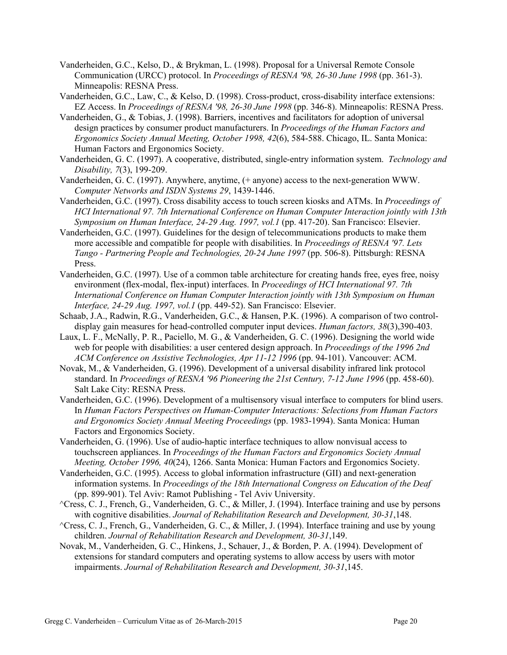Vanderheiden, G.C., Kelso, D., & Brykman, L. (1998). Proposal for a Universal Remote Console Communication (URCC) protocol. In *Proceedings of RESNA '98, 26-30 June 1998* (pp. 361-3). Minneapolis: RESNA Press.

Vanderheiden, G.C., Law, C., & Kelso, D. (1998). Cross-product, cross-disability interface extensions: EZ Access. In *Proceedings of RESNA '98, 26-30 June 1998* (pp. 346-8). Minneapolis: RESNA Press.

- Vanderheiden, G., & Tobias, J. (1998). Barriers, incentives and facilitators for adoption of universal design practices by consumer product manufacturers. In *Proceedings of the Human Factors and Ergonomics Society Annual Meeting, October 1998, 42*(6), 584-588. Chicago, IL. Santa Monica: Human Factors and Ergonomics Society.
- Vanderheiden, G. C. (1997). A cooperative, distributed, single-entry information system. *Technology and Disability, 7*(3), 199-209.
- Vanderheiden, G. C. (1997). Anywhere, anytime, (+ anyone) access to the next-generation WWW. *Computer Networks and ISDN Systems 29*, 1439-1446.
- Vanderheiden, G.C. (1997). Cross disability access to touch screen kiosks and ATMs. In *Proceedings of HCI International 97. 7th International Conference on Human Computer Interaction jointly with 13th Symposium on Human Interface, 24-29 Aug. 1997, vol.1* (pp. 417-20). San Francisco: Elsevier.
- Vanderheiden, G.C. (1997). Guidelines for the design of telecommunications products to make them more accessible and compatible for people with disabilities. In *Proceedings of RESNA '97. Lets Tango - Partnering People and Technologies, 20-24 June 1997* (pp. 506-8). Pittsburgh: RESNA Press.
- Vanderheiden, G.C. (1997). Use of a common table architecture for creating hands free, eyes free, noisy environment (flex-modal, flex-input) interfaces. In *Proceedings of HCI International 97. 7th International Conference on Human Computer Interaction jointly with 13th Symposium on Human Interface, 24-29 Aug. 1997, vol.1* (pp. 449-52). San Francisco: Elsevier.
- Schaab, J.A., Radwin, R.G., Vanderheiden, G.C., & Hansen, P.K. (1996). A comparison of two controldisplay gain measures for head-controlled computer input devices. *Human factors, 38*(3),390-403.
- Laux, L. F., McNally, P. R., Paciello, M. G., & Vanderheiden, G. C. (1996). Designing the world wide web for people with disabilities: a user centered design approach. In *Proceedings of the 1996 2nd ACM Conference on Assistive Technologies, Apr 11-12 1996* (pp. 94-101). Vancouver: ACM.
- Novak, M., & Vanderheiden, G. (1996). Development of a universal disability infrared link protocol standard. In *Proceedings of RESNA '96 Pioneering the 21st Century, 7-12 June 1996* (pp. 458-60). Salt Lake City: RESNA Press.
- Vanderheiden, G.C. (1996). Development of a multisensory visual interface to computers for blind users. In *Human Factors Perspectives on Human-Computer Interactions: Selections from Human Factors and Ergonomics Society Annual Meeting Proceedings* (pp. 1983-1994). Santa Monica: Human Factors and Ergonomics Society.
- Vanderheiden, G. (1996). Use of audio-haptic interface techniques to allow nonvisual access to touchscreen appliances. In *Proceedings of the Human Factors and Ergonomics Society Annual Meeting, October 1996, 40*(24), 1266. Santa Monica: Human Factors and Ergonomics Society.
- Vanderheiden, G.C. (1995). Access to global information infrastructure (GII) and next-generation information systems. In *Proceedings of the 18th International Congress on Education of the Deaf* (pp. 899-901). Tel Aviv: Ramot Publishing - Tel Aviv University.
- ^Cress, C. J., French, G., Vanderheiden, G. C., & Miller, J. (1994). Interface training and use by persons with cognitive disabilities. *Journal of Rehabilitation Research and Development, 30-31*,148.
- ^Cress, C. J., French, G., Vanderheiden, G. C., & Miller, J. (1994). Interface training and use by young children. *Journal of Rehabilitation Research and Development, 30-31*,149.
- Novak, M., Vanderheiden, G. C., Hinkens, J., Schauer, J., & Borden, P. A. (1994). Development of extensions for standard computers and operating systems to allow access by users with motor impairments. *Journal of Rehabilitation Research and Development, 30-31*,145.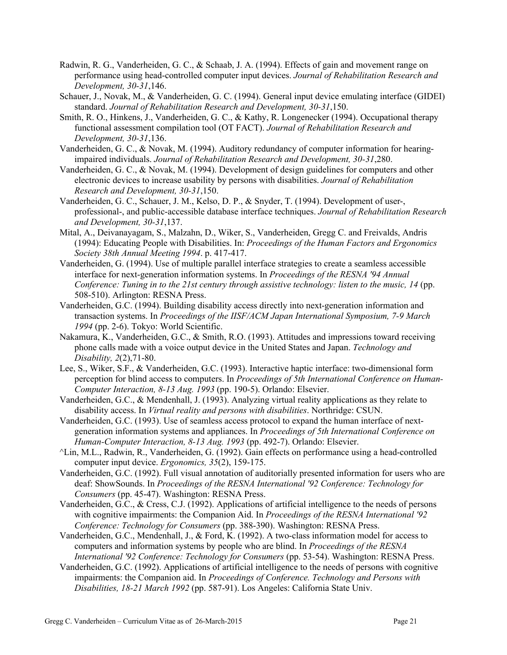- Radwin, R. G., Vanderheiden, G. C., & Schaab, J. A. (1994). Effects of gain and movement range on performance using head-controlled computer input devices. *Journal of Rehabilitation Research and Development, 30-31*,146.
- Schauer, J., Novak, M., & Vanderheiden, G. C. (1994). General input device emulating interface (GIDEI) standard. *Journal of Rehabilitation Research and Development, 30-31*,150.
- Smith, R. O., Hinkens, J., Vanderheiden, G. C., & Kathy, R. Longenecker (1994). Occupational therapy functional assessment compilation tool (OT FACT). *Journal of Rehabilitation Research and Development, 30-31*,136.
- Vanderheiden, G. C., & Novak, M. (1994). Auditory redundancy of computer information for hearingimpaired individuals. *Journal of Rehabilitation Research and Development, 30-31*,280.
- Vanderheiden, G. C., & Novak, M. (1994). Development of design guidelines for computers and other electronic devices to increase usability by persons with disabilities. *Journal of Rehabilitation Research and Development, 30-31*,150.
- Vanderheiden, G. C., Schauer, J. M., Kelso, D. P., & Snyder, T. (1994). Development of user-, professional-, and public-accessible database interface techniques. *Journal of Rehabilitation Research and Development, 30-31*,137.
- Mital, A., Deivanayagam, S., Malzahn, D., Wiker, S., Vanderheiden, Gregg C. and Freivalds, Andris (1994): Educating People with Disabilities. In: *Proceedings of the Human Factors and Ergonomics Society 38th Annual Meeting 1994*. p. 417-417.
- Vanderheiden, G. (1994). Use of multiple parallel interface strategies to create a seamless accessible interface for next-generation information systems. In *Proceedings of the RESNA '94 Annual Conference: Tuning in to the 21st century through assistive technology: listen to the music, 14* (pp. 508-510). Arlington: RESNA Press.
- Vanderheiden, G.C. (1994). Building disability access directly into next-generation information and transaction systems. In *Proceedings of the IISF/ACM Japan International Symposium, 7-9 March 1994* (pp. 2-6). Tokyo: World Scientific.
- Nakamura, K., Vanderheiden, G.C., & Smith, R.O. (1993). Attitudes and impressions toward receiving phone calls made with a voice output device in the United States and Japan. *Technology and Disability, 2*(2),71-80.
- Lee, S., Wiker, S.F., & Vanderheiden, G.C. (1993). Interactive haptic interface: two-dimensional form perception for blind access to computers. In *Proceedings of 5th International Conference on Human-Computer Interaction, 8-13 Aug. 1993* (pp. 190-5). Orlando: Elsevier.
- Vanderheiden, G.C., & Mendenhall, J. (1993). Analyzing virtual reality applications as they relate to disability access. In *Virtual reality and persons with disabilities*. Northridge: CSUN.
- Vanderheiden, G.C. (1993). Use of seamless access protocol to expand the human interface of nextgeneration information systems and appliances. In *Proceedings of 5th International Conference on Human-Computer Interaction, 8-13 Aug. 1993* (pp. 492-7). Orlando: Elsevier.
- ^Lin, M.L., Radwin, R., Vanderheiden, G. (1992). Gain effects on performance using a head-controlled computer input device. *Ergonomics, 35*(2), 159-175.
- Vanderheiden, G.C. (1992). Full visual annotation of auditorially presented information for users who are deaf: ShowSounds. In *Proceedings of the RESNA International '92 Conference: Technology for Consumers* (pp. 45-47). Washington: RESNA Press.
- Vanderheiden, G.C., & Cress, C.J. (1992). Applications of artificial intelligence to the needs of persons with cognitive impairments: the Companion Aid. In *Proceedings of the RESNA International '92 Conference: Technology for Consumers* (pp. 388-390). Washington: RESNA Press.
- Vanderheiden, G.C., Mendenhall, J., & Ford, K. (1992). A two-class information model for access to computers and information systems by people who are blind. In *Proceedings of the RESNA International '92 Conference: Technology for Consumers* (pp. 53-54). Washington: RESNA Press.
- Vanderheiden, G.C. (1992). Applications of artificial intelligence to the needs of persons with cognitive impairments: the Companion aid. In *Proceedings of Conference. Technology and Persons with Disabilities, 18-21 March 1992* (pp. 587-91). Los Angeles: California State Univ.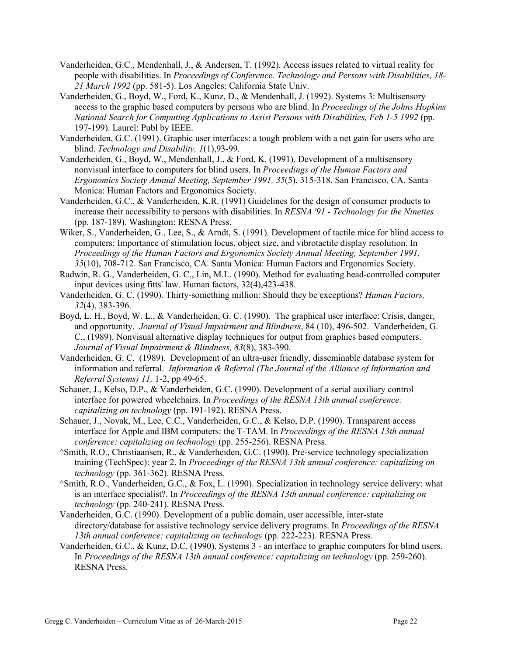- Vanderheiden, G.C., Mendenhall, J., & Andersen, T. (1992). Access issues related to virtual reality for people with disabilities. In *Proceedings of Conference. Technology and Persons with Disabilities, 18- 21 March 1992* (pp. 581-5). Los Angeles: California State Univ.
- Vanderheiden, G., Boyd, W., Ford, K., Kunz, D., & Mendenhall, J. (1992). Systems 3: Multisensory access to the graphic based computers by persons who are blind. In *Proceedings of the Johns Hopkins National Search for Computing Applications to Assist Persons with Disabilities, Feb 1-5 1992* (pp. 197-199). Laurel: Publ by IEEE.
- Vanderheiden, G.C. (1991). Graphic user interfaces: a tough problem with a net gain for users who are blind. *Technology and Disability, 1*(1),93-99.
- Vanderheiden, G., Boyd, W., Mendenhall, J., & Ford, K. (1991). Development of a multisensory nonvisual interface to computers for blind users. In *Proceedings of the Human Factors and Ergonomics Society Annual Meeting, September 1991, 35*(5), 315-318. San Francisco, CA. Santa Monica: Human Factors and Ergonomics Society.
- Vanderheiden, G.C., & Vanderheiden, K.R. (1991) Guidelines for the design of consumer products to increase their accessibility to persons with disabilities. In *RESNA '91 - Technology for the Nineties* (pp. 187-189). Washington: RESNA Press.
- Wiker, S., Vanderheiden, G., Lee, S., & Arndt, S. (1991). Development of tactile mice for blind access to computers: Importance of stimulation locus, object size, and vibrotactile display resolution. In *Proceedings of the Human Factors and Ergonomics Society Annual Meeting, September 1991, 35*(10), 708-712. San Francisco, CA. Santa Monica: Human Factors and Ergonomics Society.
- Radwin, R. G., Vanderheiden, G. C., Lin, M.L. (1990). Method for evaluating head-controlled computer input devices using fitts' law. Human factors, 32(4),423-438.
- Vanderheiden, G. C. (1990). Thirty-something million: Should they be exceptions? *Human Factors, 32*(4), 383-396.
- Boyd, L. H., Boyd, W. L., & Vanderheiden, G. C. (1990). The graphical user interface: Crisis, danger, and opportunity. *Journal of Visual Impairment and Blindness*, 84 (10), 496-502. Vanderheiden, G. C., (1989). Nonvisual alternative display techniques for output from graphics based computers. *Journal of Visual Impairment & Blindness, 83*(8), 383-390.
- Vanderheiden, G. C. (1989). Development of an ultra-user friendly, disseminable database system for information and referral. *Information & Referral (The Journal of the Alliance of Information and Referral Systems) 11,* 1-2, pp 49-65.
- Schauer, J., Kelso, D.P., & Vanderheiden, G.C. (1990). Development of a serial auxiliary control interface for powered wheelchairs. In *Proceedings of the RESNA 13th annual conference: capitalizing on technology* (pp. 191-192). RESNA Press.
- Schauer, J., Novak, M., Lee, C.C., Vanderheiden, G.C., & Kelso, D.P. (1990). Transparent access interface for Apple and IBM computers: the T-TAM. In *Proceedings of the RESNA 13th annual conference: capitalizing on technology* (pp. 255-256). RESNA Press.
- ^Smith, R.O., Christiaansen, R., & Vanderheiden, G.C. (1990). Pre-service technology specialization training (TechSpec): year 2. In *Proceedings of the RESNA 13th annual conference: capitalizing on technology* (pp. 361-362). RESNA Press.
- ^Smith, R.O., Vanderheiden, G.C., & Fox, L. (1990). Specialization in technology service delivery: what is an interface specialist?. In *Proceedings of the RESNA 13th annual conference: capitalizing on technology* (pp. 240-241). RESNA Press.
- Vanderheiden, G.C. (1990). Development of a public domain, user accessible, inter-state directory/database for assistive technology service delivery programs. In *Proceedings of the RESNA*  13th annual conference: capitalizing on technology (pp. 222-223). RESNA Press.
- Vanderheiden, G.C., & Kunz, D.C. (1990). Systems 3 an interface to graphic computers for blind users. In *Proceedings of the RESNA 13th annual conference: capitalizing on technology* (pp. 259-260). RESNA Press.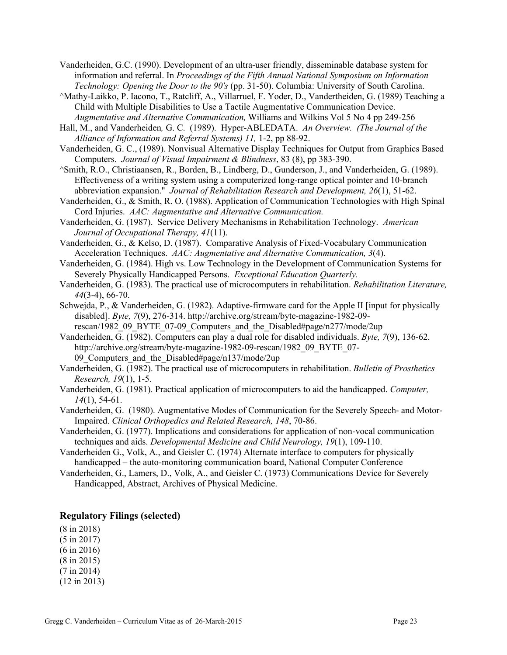- Vanderheiden, G.C. (1990). Development of an ultra-user friendly, disseminable database system for information and referral. In *Proceedings of the Fifth Annual National Symposium on Information Technology: Opening the Door to the 90's* (pp. 31-50). Columbia: University of South Carolina.
- ^Mathy-Laikko, P. Iacono, T., Ratcliff, A., Villarruel, F. Yoder, D., Vandertheiden, G. (1989) Teaching a Child with Multiple Disabilities to Use a Tactile Augmentative Communication Device. *Augmentative and Alternative Communication,* Williams and Wilkins Vol 5 No 4 pp 249-256
- Hall, M., and Vanderheiden*,* G. C. (1989). Hyper-ABLEDATA. *An Overview. (The Journal of the Alliance of Information and Referral Systems) 11,* 1-2, pp 88-92.
- Vanderheiden, G. C., (1989). Nonvisual Alternative Display Techniques for Output from Graphics Based Computers. *Journal of Visual Impairment & Blindness*, 83 (8), pp 383-390.
- ^Smith, R.O., Christiaansen, R., Borden, B., Lindberg, D., Gunderson, J., and Vanderheiden, G. (1989). Effectiveness of a writing system using a computerized long-range optical pointer and 10-branch abbreviation expansion." *Journal of Rehabilitation Research and Development, 26*(1), 51-62.
- Vanderheiden, G., & Smith, R. O. (1988). Application of Communication Technologies with High Spinal Cord Injuries. *AAC: Augmentative and Alternative Communication.*
- Vanderheiden, G. (1987). Service Delivery Mechanisms in Rehabilitation Technology. *American Journal of Occupational Therapy, 41*(11).
- Vanderheiden, G., & Kelso, D. (1987). Comparative Analysis of Fixed-Vocabulary Communication Acceleration Techniques. *AAC: Augmentative and Alternative Communication, 3*(4).
- Vanderheiden, G. (1984). High vs. Low Technology in the Development of Communication Systems for Severely Physically Handicapped Persons. *Exceptional Education Quarterly.*
- Vanderheiden, G. (1983). The practical use of microcomputers in rehabilitation. *Rehabilitation Literature, 44*(3-4), 66-70.
- Schwejda, P., & Vanderheiden, G. (1982). Adaptive-firmware card for the Apple II [input for physically disabled]. *Byte, 7*(9), 276-314. http://archive.org/stream/byte-magazine-1982-09 rescan/1982\_09\_BYTE\_07-09\_Computers\_and\_the\_Disabled#page/n277/mode/2up
- Vanderheiden, G. (1982). Computers can play a dual role for disabled individuals. *Byte, 7*(9), 136-62. http://archive.org/stream/byte-magazine-1982-09-rescan/1982\_09\_BYTE\_07-09 Computers and the Disabled#page/n137/mode/2up
- Vanderheiden, G. (1982). The practical use of microcomputers in rehabilitation. *Bulletin of Prosthetics Research, 19*(1), 1-5.
- Vanderheiden, G. (1981). Practical application of microcomputers to aid the handicapped. *Computer, 14*(1), 54-61.
- Vanderheiden, G. (1980). Augmentative Modes of Communication for the Severely Speech- and Motor-Impaired. *Clinical Orthopedics and Related Research, 148*, 70-86.
- Vanderheiden, G. (1977). Implications and considerations for application of non-vocal communication techniques and aids. *Developmental Medicine and Child Neurology, 19*(1), 109-110.
- Vanderheiden G., Volk, A., and Geisler C. (1974) Alternate interface to computers for physically handicapped – the auto-monitoring communication board, National Computer Conference
- Vanderheiden, G., Lamers, D., Volk, A., and Geisler C. (1973) Communications Device for Severely Handicapped, Abstract, Archives of Physical Medicine.

#### **Regulatory Filings (selected)**

(8 in 2018) (5 in 2017) (6 in 2016) (8 in 2015) (7 in 2014) (12 in 2013)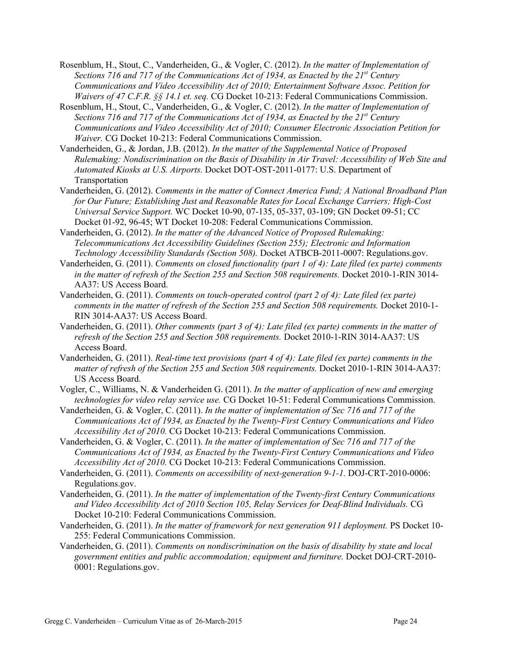- Rosenblum, H., Stout, C., Vanderheiden, G., & Vogler, C. (2012). *In the matter of Implementation of Sections 716 and 717 of the Communications Act of 1934, as Enacted by the 21st Century Communications and Video Accessibility Act of 2010; Entertainment Software Assoc. Petition for Waivers of 47 C.F.R. §§ 14.1 et. seq.* CG Docket 10-213: Federal Communications Commission.
- Rosenblum, H., Stout, C., Vanderheiden, G., & Vogler, C. (2012). *In the matter of Implementation of Sections 716 and 717 of the Communications Act of 1934, as Enacted by the 21st Century Communications and Video Accessibility Act of 2010; Consumer Electronic Association Petition for Waiver.* CG Docket 10-213: Federal Communications Commission.
- Vanderheiden, G., & Jordan, J.B. (2012). *In the matter of the Supplemental Notice of Proposed Rulemaking: Nondiscrimination on the Basis of Disability in Air Travel: Accessibility of Web Site and Automated Kiosks at U.S. Airports.* Docket DOT-OST-2011-0177: U.S. Department of Transportation
- Vanderheiden, G. (2012). *Comments in the matter of Connect America Fund; A National Broadband Plan for Our Future; Establishing Just and Reasonable Rates for Local Exchange Carriers; High-Cost Universal Service Support.* WC Docket 10-90, 07-135, 05-337, 03-109; GN Docket 09-51; CC Docket 01-92, 96-45; WT Docket 10-208: Federal Communications Commission.
- Vanderheiden, G. (2012). *In the matter of the Advanced Notice of Proposed Rulemaking: Telecommunications Act Accessibility Guidelines (Section 255); Electronic and Information Technology Accessibility Standards (Section 508).* Docket ATBCB-2011-0007: Regulations.gov.
- Vanderheiden, G. (2011). *Comments on closed functionality (part 1 of 4): Late filed (ex parte) comments in the matter of refresh of the Section 255 and Section 508 requirements.* Docket 2010-1-RIN 3014- AA37: US Access Board.
- Vanderheiden, G. (2011). *Comments on touch-operated control (part 2 of 4): Late filed (ex parte) comments in the matter of refresh of the Section 255 and Section 508 requirements.* Docket 2010-1- RIN 3014-AA37: US Access Board.
- Vanderheiden, G. (2011). *Other comments (part 3 of 4): Late filed (ex parte) comments in the matter of refresh of the Section 255 and Section 508 requirements.* Docket 2010-1-RIN 3014-AA37: US Access Board.
- Vanderheiden, G. (2011). *Real-time text provisions (part 4 of 4): Late filed (ex parte) comments in the matter of refresh of the Section 255 and Section 508 requirements.* Docket 2010-1-RIN 3014-AA37: US Access Board.
- Vogler, C., Williams, N. & Vanderheiden G. (2011). *In the matter of application of new and emerging technologies for video relay service use.* CG Docket 10-51: Federal Communications Commission.
- Vanderheiden, G. & Vogler, C. (2011). *In the matter of implementation of Sec 716 and 717 of the Communications Act of 1934, as Enacted by the Twenty-First Century Communications and Video Accessibility Act of 2010.* CG Docket 10-213: Federal Communications Commission.
- Vanderheiden, G. & Vogler, C. (2011). *In the matter of implementation of Sec 716 and 717 of the Communications Act of 1934, as Enacted by the Twenty-First Century Communications and Video Accessibility Act of 2010.* CG Docket 10-213: Federal Communications Commission.
- Vanderheiden, G. (2011). *Comments on accessibility of next-generation 9-1-1.* DOJ-CRT-2010-0006: Regulations.gov.
- Vanderheiden, G. (2011). *In the matter of implementation of the Twenty-first Century Communications and Video Accessibility Act of 2010 Section 105, Relay Services for Deaf-Blind Individuals.* CG Docket 10-210: Federal Communications Commission.
- Vanderheiden, G. (2011). *In the matter of framework for next generation 911 deployment.* PS Docket 10- 255: Federal Communications Commission.
- Vanderheiden, G. (2011). *Comments on nondiscrimination on the basis of disability by state and local government entities and public accommodation; equipment and furniture.* Docket DOJ-CRT-2010- 0001: Regulations.gov.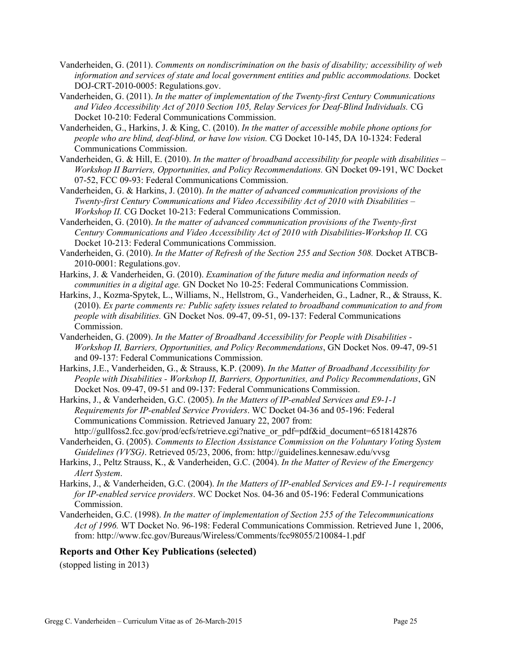- Vanderheiden, G. (2011). *Comments on nondiscrimination on the basis of disability; accessibility of web information and services of state and local government entities and public accommodations.* Docket DOJ-CRT-2010-0005: Regulations.gov.
- Vanderheiden, G. (2011). *In the matter of implementation of the Twenty-first Century Communications and Video Accessibility Act of 2010 Section 105, Relay Services for Deaf-Blind Individuals.* CG Docket 10-210: Federal Communications Commission.
- Vanderheiden, G., Harkins, J. & King, C. (2010). *In the matter of accessible mobile phone options for people who are blind, deaf-blind, or have low vision.* CG Docket 10-145, DA 10-1324: Federal Communications Commission.
- Vanderheiden, G. & Hill, E. (2010). *In the matter of broadband accessibility for people with disabilities – Workshop II Barriers, Opportunities, and Policy Recommendations.* GN Docket 09-191, WC Docket 07-52, FCC 09-93: Federal Communications Commission.
- Vanderheiden, G. & Harkins, J. (2010). *In the matter of advanced communication provisions of the Twenty-first Century Communications and Video Accessibility Act of 2010 with Disabilities – Workshop II.* CG Docket 10-213: Federal Communications Commission.
- Vanderheiden, G. (2010). *In the matter of advanced communication provisions of the Twenty-first Century Communications and Video Accessibility Act of 2010 with Disabilities-Workshop II.* CG Docket 10-213: Federal Communications Commission.
- Vanderheiden, G. (2010). *In the Matter of Refresh of the Section 255 and Section 508.* Docket ATBCB-2010-0001: Regulations.gov.
- Harkins, J. & Vanderheiden, G. (2010). *Examination of the future media and information needs of communities in a digital age.* GN Docket No 10-25: Federal Communications Commission.
- Harkins, J., Kozma-Spytek, L., Williams, N., Hellstrom, G., Vanderheiden, G., Ladner, R., & Strauss, K. (2010). *Ex parte comments re: Public safety issues related to broadband communication to and from people with disabilities.* GN Docket Nos. 09-47, 09-51, 09-137: Federal Communications Commission.
- Vanderheiden, G. (2009). *In the Matter of Broadband Accessibility for People with Disabilities - Workshop II, Barriers, Opportunities, and Policy Recommendations*, GN Docket Nos. 09-47, 09-51 and 09-137: Federal Communications Commission.
- Harkins, J.E., Vanderheiden, G., & Strauss, K.P. (2009). *In the Matter of Broadband Accessibility for People with Disabilities - Workshop II, Barriers, Opportunities, and Policy Recommendations*, GN Docket Nos. 09-47, 09-51 and 09-137: Federal Communications Commission.
- Harkins, J., & Vanderheiden, G.C. (2005). *In the Matters of IP-enabled Services and E9-1-1 Requirements for IP-enabled Service Providers*. WC Docket 04-36 and 05-196: Federal Communications Commission. Retrieved January 22, 2007 from: http://gullfoss2.fcc.gov/prod/ecfs/retrieve.cgi?native\_or\_pdf=pdf&id\_document=6518142876
- Vanderheiden, G. (2005). *Comments to Election Assistance Commission on the Voluntary Voting System Guidelines (VVSG)*. Retrieved 05/23, 2006, from: http://guidelines.kennesaw.edu/vvsg
- Harkins, J., Peltz Strauss, K., & Vanderheiden, G.C. (2004). *In the Matter of Review of the Emergency Alert System*.
- Harkins, J., & Vanderheiden, G.C. (2004). *In the Matters of IP-enabled Services and E9-1-1 requirements for IP-enabled service providers*. WC Docket Nos. 04-36 and 05-196: Federal Communications Commission.
- Vanderheiden, G.C. (1998). *In the matter of implementation of Section 255 of the Telecommunications Act of 1996.* WT Docket No. 96-198: Federal Communications Commission. Retrieved June 1, 2006, from: http://www.fcc.gov/Bureaus/Wireless/Comments/fcc98055/210084-1.pdf

#### **Reports and Other Key Publications (selected)**

(stopped listing in 2013)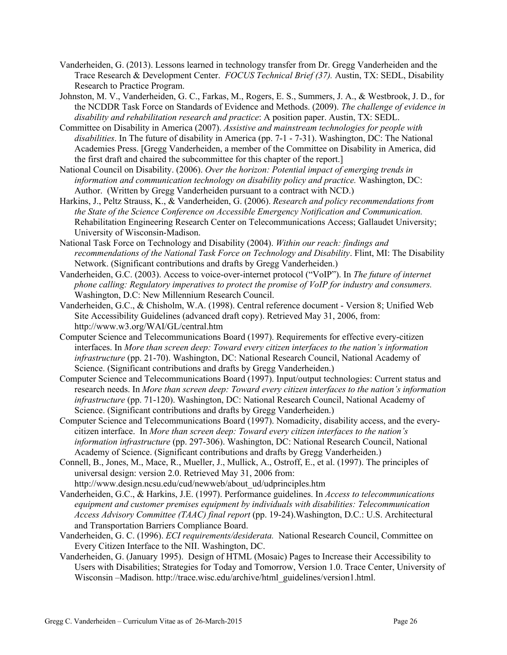- Vanderheiden, G. (2013). Lessons learned in technology transfer from Dr. Gregg Vanderheiden and the Trace Research & Development Center. *FOCUS Technical Brief (37).* Austin, TX: SEDL, Disability Research to Practice Program.
- Johnston, M. V., Vanderheiden, G. C., Farkas, M., Rogers, E. S., Summers, J. A., & Westbrook, J. D., for the NCDDR Task Force on Standards of Evidence and Methods. (2009). *The challenge of evidence in disability and rehabilitation research and practice*: A position paper. Austin, TX: SEDL.
- Committee on Disability in America (2007). *Assistive and mainstream technologies for people with disabilities*. In The future of disability in America (pp. 7-1 - 7-31). Washington, DC: The National Academies Press. [Gregg Vanderheiden, a member of the Committee on Disability in America, did the first draft and chaired the subcommittee for this chapter of the report.]
- National Council on Disability. (2006). *Over the horizon: Potential impact of emerging trends in information and communication technology on disability policy and practice.* Washington, DC: Author. (Written by Gregg Vanderheiden pursuant to a contract with NCD.)
- Harkins, J., Peltz Strauss, K., & Vanderheiden, G. (2006). *Research and policy recommendations from the State of the Science Conference on Accessible Emergency Notification and Communication.* Rehabilitation Engineering Research Center on Telecommunications Access; Gallaudet University; University of Wisconsin-Madison.
- National Task Force on Technology and Disability (2004). *Within our reach: findings and recommendations of the National Task Force on Technology and Disability*. Flint, MI: The Disability Network. (Significant contributions and drafts by Gregg Vanderheiden.)
- Vanderheiden, G.C. (2003). Access to voice-over-internet protocol ("VoIP"). In *The future of internet phone calling: Regulatory imperatives to protect the promise of VoIP for industry and consumers.* Washington, D.C: New Millennium Research Council.
- Vanderheiden, G.C., & Chisholm, W.A. (1998). Central reference document Version 8; Unified Web Site Accessibility Guidelines (advanced draft copy). Retrieved May 31, 2006, from: http://www.w3.org/WAI/GL/central.htm
- Computer Science and Telecommunications Board (1997). Requirements for effective every-citizen interfaces. In *More than screen deep: Toward every citizen interfaces to the nation's information infrastructure* (pp. 21-70). Washington, DC: National Research Council, National Academy of Science. (Significant contributions and drafts by Gregg Vanderheiden.)
- Computer Science and Telecommunications Board (1997). Input/output technologies: Current status and research needs. In *More than screen deep: Toward every citizen interfaces to the nation's information infrastructure* (pp. 71-120). Washington, DC: National Research Council, National Academy of Science. (Significant contributions and drafts by Gregg Vanderheiden.)
- Computer Science and Telecommunications Board (1997). Nomadicity, disability access, and the everycitizen interface. In *More than screen deep: Toward every citizen interfaces to the nation's information infrastructure* (pp. 297-306). Washington, DC: National Research Council, National Academy of Science. (Significant contributions and drafts by Gregg Vanderheiden.)
- Connell, B., Jones, M., Mace, R., Mueller, J., Mullick, A., Ostroff, E., et al. (1997). The principles of universal design: version 2.0. Retrieved May 31, 2006 from: http://www.design.ncsu.edu/cud/newweb/about\_ud/udprinciples.htm
- Vanderheiden, G.C., & Harkins, J.E. (1997). Performance guidelines. In *Access to telecommunications equipment and customer premises equipment by individuals with disabilities: Telecommunication Access Advisory Committee (TAAC) final report* (pp. 19-24).Washington, D.C.: U.S. Architectural and Transportation Barriers Compliance Board.
- Vanderheiden, G. C. (1996). *ECI requirements/desiderata.* National Research Council, Committee on Every Citizen Interface to the NII. Washington, DC.
- Vanderheiden, G. (January 1995). Design of HTML (Mosaic) Pages to Increase their Accessibility to Users with Disabilities; Strategies for Today and Tomorrow, Version 1.0. Trace Center, University of Wisconsin –Madison. http://trace.wisc.edu/archive/html\_guidelines/version1.html.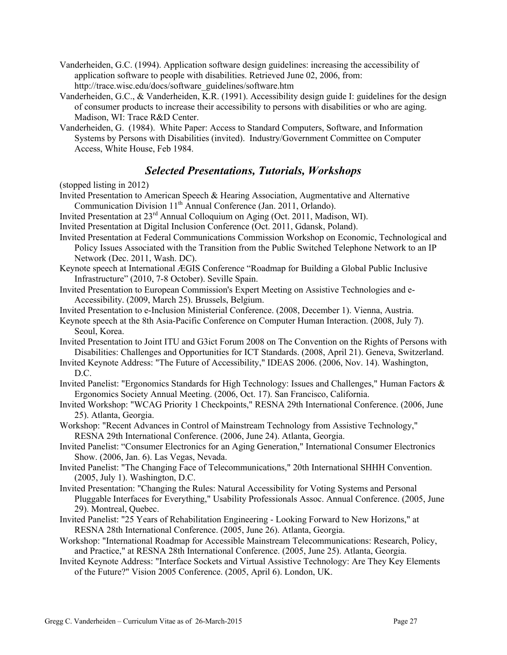- Vanderheiden, G.C. (1994). Application software design guidelines: increasing the accessibility of application software to people with disabilities. Retrieved June 02, 2006, from: http://trace.wisc.edu/docs/software\_guidelines/software.htm
- Vanderheiden, G.C., & Vanderheiden, K.R. (1991). Accessibility design guide I: guidelines for the design of consumer products to increase their accessibility to persons with disabilities or who are aging. Madison, WI: Trace R&D Center.
- Vanderheiden, G. (1984). White Paper: Access to Standard Computers, Software, and Information Systems by Persons with Disabilities (invited). Industry/Government Committee on Computer Access, White House, Feb 1984.

## *Selected Presentations, Tutorials, Workshops*

(stopped listing in 2012)

Invited Presentation to American Speech & Hearing Association, Augmentative and Alternative Communication Division 11<sup>th</sup> Annual Conference (Jan. 2011, Orlando).

Invited Presentation at 23rd Annual Colloquium on Aging (Oct. 2011, Madison, WI).

- Invited Presentation at Digital Inclusion Conference (Oct. 2011, Gdansk, Poland).
- Invited Presentation at Federal Communications Commission Workshop on Economic, Technological and Policy Issues Associated with the Transition from the Public Switched Telephone Network to an IP Network (Dec. 2011, Wash. DC).
- Keynote speech at International ÆGIS Conference "Roadmap for Building a Global Public Inclusive Infrastructure" (2010, 7-8 October). Seville Spain.
- Invited Presentation to European Commission's Expert Meeting on Assistive Technologies and e-Accessibility. (2009, March 25). Brussels, Belgium.
- Invited Presentation to e-Inclusion Ministerial Conference. (2008, December 1). Vienna, Austria.
- Keynote speech at the 8th Asia-Pacific Conference on Computer Human Interaction. (2008, July 7). Seoul, Korea.
- Invited Presentation to Joint ITU and G3ict Forum 2008 on The Convention on the Rights of Persons with Disabilities: Challenges and Opportunities for ICT Standards. (2008, April 21). Geneva, Switzerland.
- Invited Keynote Address: "The Future of Accessibility," IDEAS 2006. (2006, Nov. 14). Washington, D.C.
- Invited Panelist: "Ergonomics Standards for High Technology: Issues and Challenges," Human Factors & Ergonomics Society Annual Meeting. (2006, Oct. 17). San Francisco, California.
- Invited Workshop: "WCAG Priority 1 Checkpoints," RESNA 29th International Conference. (2006, June 25). Atlanta, Georgia.
- Workshop: "Recent Advances in Control of Mainstream Technology from Assistive Technology," RESNA 29th International Conference. (2006, June 24). Atlanta, Georgia.

Invited Panelist: "Consumer Electronics for an Aging Generation," International Consumer Electronics Show. (2006, Jan. 6). Las Vegas, Nevada.

- Invited Panelist: "The Changing Face of Telecommunications," 20th International SHHH Convention. (2005, July 1). Washington, D.C.
- Invited Presentation: "Changing the Rules: Natural Accessibility for Voting Systems and Personal Pluggable Interfaces for Everything," Usability Professionals Assoc. Annual Conference. (2005, June 29). Montreal, Quebec.
- Invited Panelist: "25 Years of Rehabilitation Engineering Looking Forward to New Horizons," at RESNA 28th International Conference. (2005, June 26). Atlanta, Georgia.
- Workshop: "International Roadmap for Accessible Mainstream Telecommunications: Research, Policy, and Practice," at RESNA 28th International Conference. (2005, June 25). Atlanta, Georgia.
- Invited Keynote Address: "Interface Sockets and Virtual Assistive Technology: Are They Key Elements of the Future?" Vision 2005 Conference. (2005, April 6). London, UK.